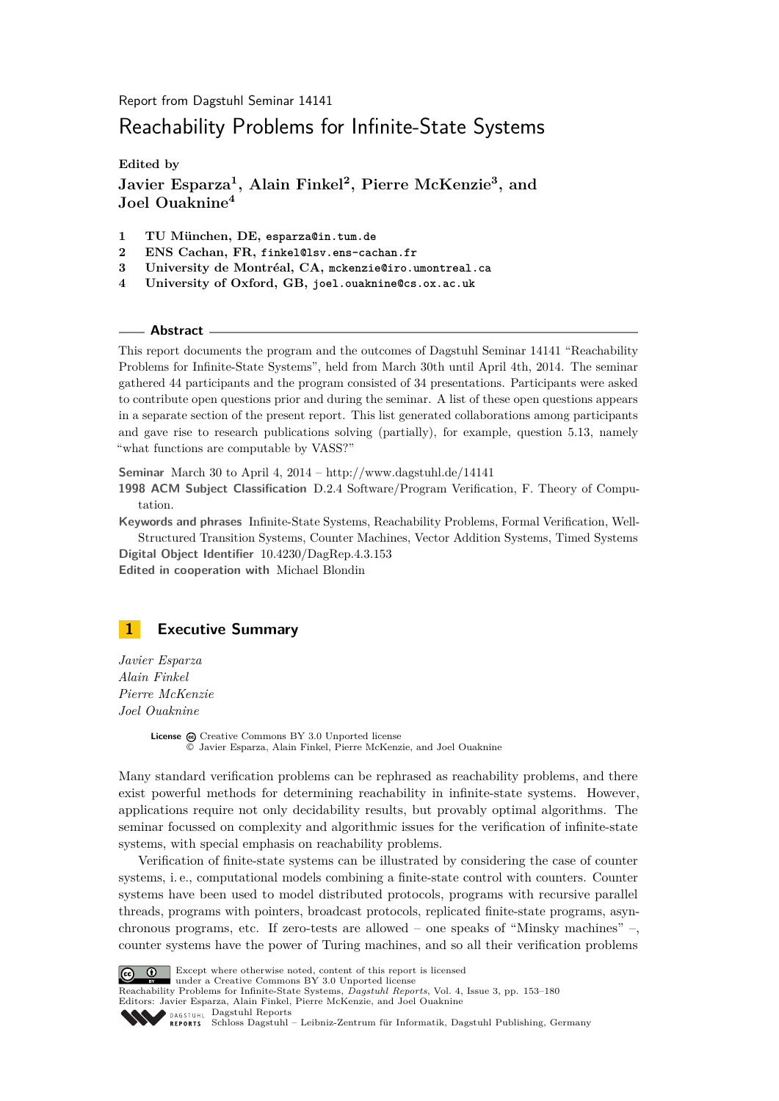Report from Dagstuhl Seminar 14141

# Reachability Problems for Infinite-State Systems

**Edited by**

**Javier Esparza<sup>1</sup> , Alain Finkel<sup>2</sup> , Pierre McKenzie<sup>3</sup> , and Joel Ouaknine<sup>4</sup>**

- **1 TU München, DE, esparza@in.tum.de**
- **2 ENS Cachan, FR, finkel@lsv.ens-cachan.fr**
- **3 University de Montréal, CA, mckenzie@iro.umontreal.ca**
- **4 University of Oxford, GB, joel.ouaknine@cs.ox.ac.uk**

**Abstract**

This report documents the program and the outcomes of Dagstuhl Seminar 14141 "Reachability Problems for Infinite-State Systems", held from March 30th until April 4th, 2014. The seminar gathered 44 participants and the program consisted of 34 presentations. Participants were asked to contribute open questions prior and during the seminar. A list of these open questions appears in a separate section of the present report. This list generated collaborations among participants and gave rise to research publications solving (partially), for example, question 5.13, namely "what functions are computable by VASS?"

**Seminar** March 30 to April 4, 2014 –<http://www.dagstuhl.de/14141>

**1998 ACM Subject Classification** D.2.4 Software/Program Verification, F. Theory of Computation.

**Keywords and phrases** Infinite-State Systems, Reachability Problems, Formal Verification, Well-Structured Transition Systems, Counter Machines, Vector Addition Systems, Timed Systems

**Digital Object Identifier** [10.4230/DagRep.4.3.153](http://dx.doi.org/10.4230/DagRep.4.3.153) **Edited in cooperation with** Michael Blondin

<span id="page-0-0"></span>

*Javier Esparza Alain Finkel Pierre McKenzie Joel Ouaknine*

> License  $\textcircled{c}$  [Creative Commons BY 3.0 Unported](http://creativecommons.org/licenses/by/3.0/) license © [Javier Esparza, Alain Finkel, Pierre McKenzie, and Joel Ouaknine](#page-0-0)

Many standard verification problems can be rephrased as reachability problems, and there exist powerful methods for determining reachability in infinite-state systems. However, applications require not only decidability results, but provably optimal algorithms. The seminar focussed on complexity and algorithmic issues for the verification of infinite-state systems, with special emphasis on reachability problems.

Verification of finite-state systems can be illustrated by considering the case of counter systems, i. e., computational models combining a finite-state control with counters. Counter systems have been used to model distributed protocols, programs with recursive parallel threads, programs with pointers, broadcast protocols, replicated finite-state programs, asynchronous programs, etc. If zero-tests are allowed – one speaks of "Minsky machines" –, counter systems have the power of Turing machines, and so all their verification problems



**C f** Except where otherwise noted, content of this report is licensed

under a [Creative Commons BY 3.0 Unported](http://creativecommons.org/licenses/by/3.0/) license

Reachability Problems for Infinite-State Systems, *Dagstuhl Reports*, Vol. 4, Issue 3, pp. 153[–180](#page-27-0) Editors: Javier Esparza, Alain Finkel, Pierre McKenzie, and Joel Ouaknine **DAGSTUHL [Dagstuhl Reports](http://www.dagstuhl.de/dagstuhl-reports/)** 

[Schloss Dagstuhl – Leibniz-Zentrum für Informatik, Dagstuhl Publishing, Germany](http://www.dagstuhl.de)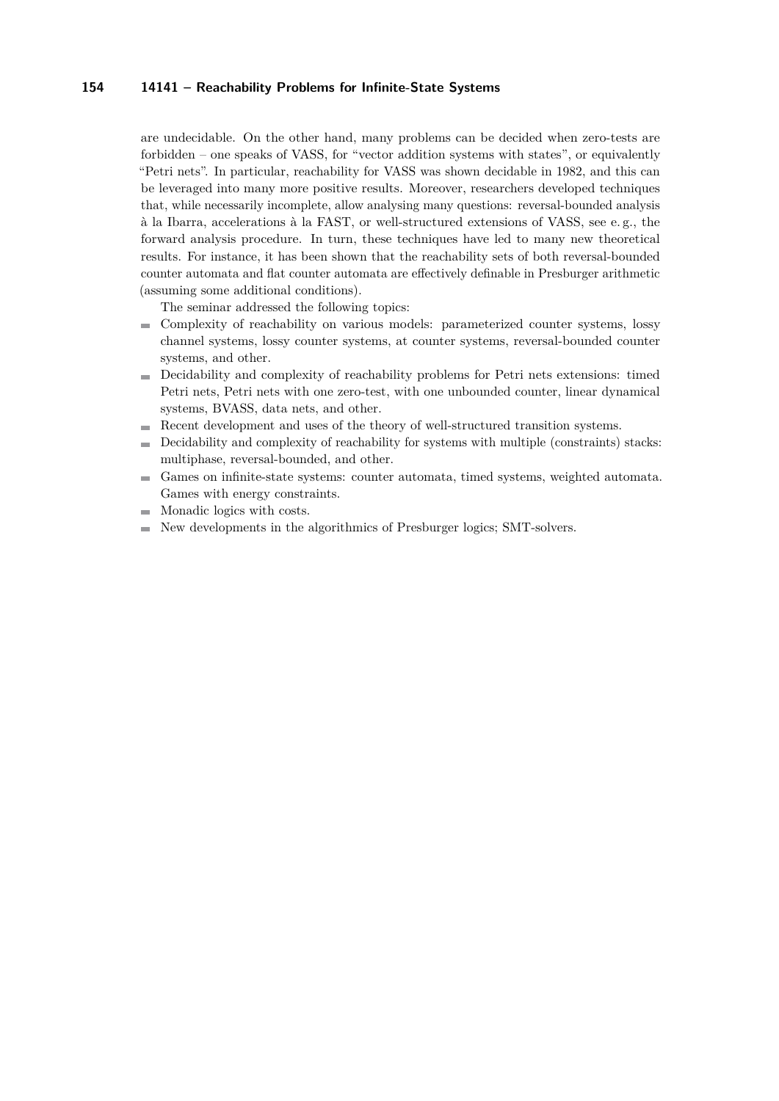are undecidable. On the other hand, many problems can be decided when zero-tests are forbidden – one speaks of VASS, for "vector addition systems with states", or equivalently "Petri nets". In particular, reachability for VASS was shown decidable in 1982, and this can be leveraged into many more positive results. Moreover, researchers developed techniques that, while necessarily incomplete, allow analysing many questions: reversal-bounded analysis à la Ibarra, accelerations à la FAST, or well-structured extensions of VASS, see e. g., the forward analysis procedure. In turn, these techniques have led to many new theoretical results. For instance, it has been shown that the reachability sets of both reversal-bounded counter automata and flat counter automata are effectively definable in Presburger arithmetic (assuming some additional conditions).

The seminar addressed the following topics:

- Complexity of reachability on various models: parameterized counter systems, lossy m. channel systems, lossy counter systems, at counter systems, reversal-bounded counter systems, and other.
- Decidability and complexity of reachability problems for Petri nets extensions: timed Petri nets, Petri nets with one zero-test, with one unbounded counter, linear dynamical systems, BVASS, data nets, and other.
- Recent development and uses of the theory of well-structured transition systems.  $\sim$
- Decidability and complexity of reachability for systems with multiple (constraints) stacks:  $\blacksquare$ multiphase, reversal-bounded, and other.
- Games on infinite-state systems: counter automata, timed systems, weighted automata.  $\blacksquare$ Games with energy constraints.
- Monadic logics with costs.  $\sim$
- New developments in the algorithmics of Presburger logics; SMT-solvers.÷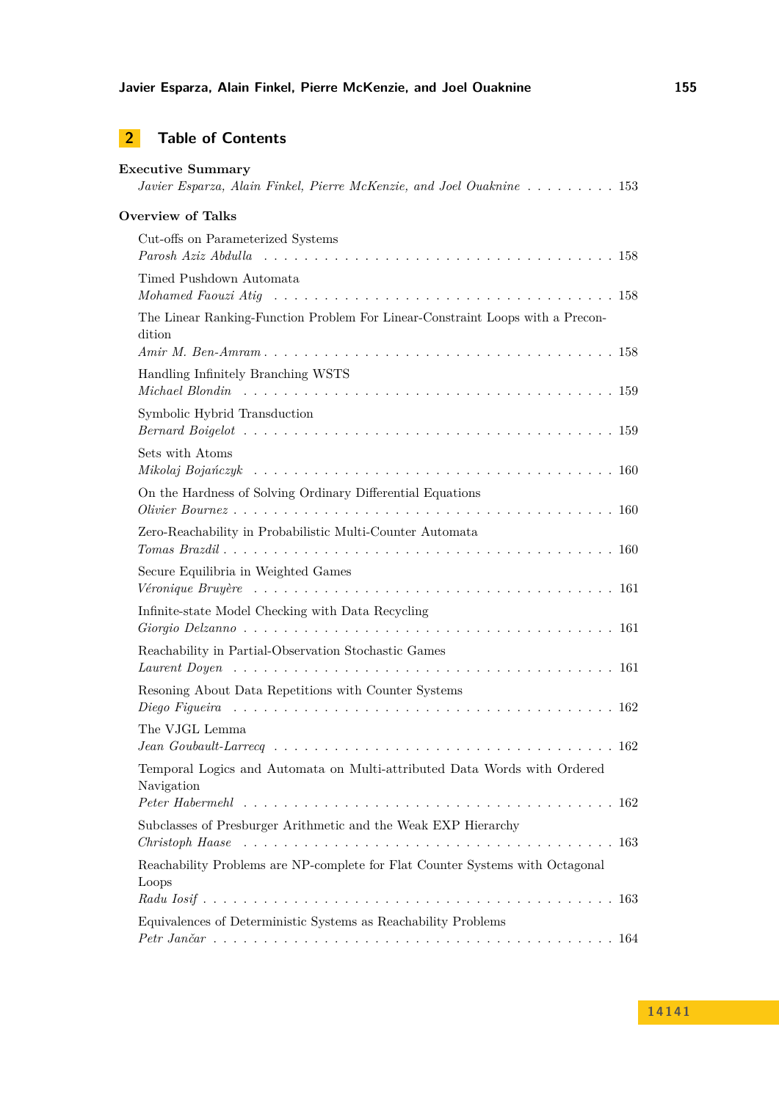# **2 Table of Contents**

| <b>Executive Summary</b><br>Javier Esparza, Alain Finkel, Pierre McKenzie, and Joel Ouaknine  153                                                         |
|-----------------------------------------------------------------------------------------------------------------------------------------------------------|
| <b>Overview of Talks</b>                                                                                                                                  |
| Cut-offs on Parameterized Systems                                                                                                                         |
| Timed Pushdown Automata<br>Mohamed Faouzi Atiq $\ldots \ldots \ldots \ldots \ldots \ldots \ldots \ldots \ldots \ldots \ldots \ldots \ldots 158$           |
| The Linear Ranking-Function Problem For Linear-Constraint Loops with a Precon-<br>dition                                                                  |
| Handling Infinitely Branching WSTS                                                                                                                        |
| Symbolic Hybrid Transduction                                                                                                                              |
| Sets with Atoms                                                                                                                                           |
| On the Hardness of Solving Ordinary Differential Equations                                                                                                |
| Zero-Reachability in Probabilistic Multi-Counter Automata                                                                                                 |
| Secure Equilibria in Weighted Games<br>Véronique Bruyère $\ldots \ldots \ldots \ldots \ldots \ldots \ldots \ldots \ldots \ldots \ldots \ldots \ldots 161$ |
| Infinite-state Model Checking with Data Recycling                                                                                                         |
| Reachability in Partial-Observation Stochastic Games                                                                                                      |
| Resoning About Data Repetitions with Counter Systems                                                                                                      |
| The VJGL Lemma<br>$Jean Goubault-Larrecq \ldots \ldots \ldots \ldots \ldots \ldots \ldots \ldots \ldots \ldots \ldots 162$                                |
| Temporal Logics and Automata on Multi-attributed Data Words with Ordered<br>Navigation                                                                    |
| Subclasses of Presburger Arithmetic and the Weak EXP Hierarchy                                                                                            |
| Reachability Problems are NP-complete for Flat Counter Systems with Octagonal<br>Loops                                                                    |
| Equivalences of Deterministic Systems as Reachability Problems                                                                                            |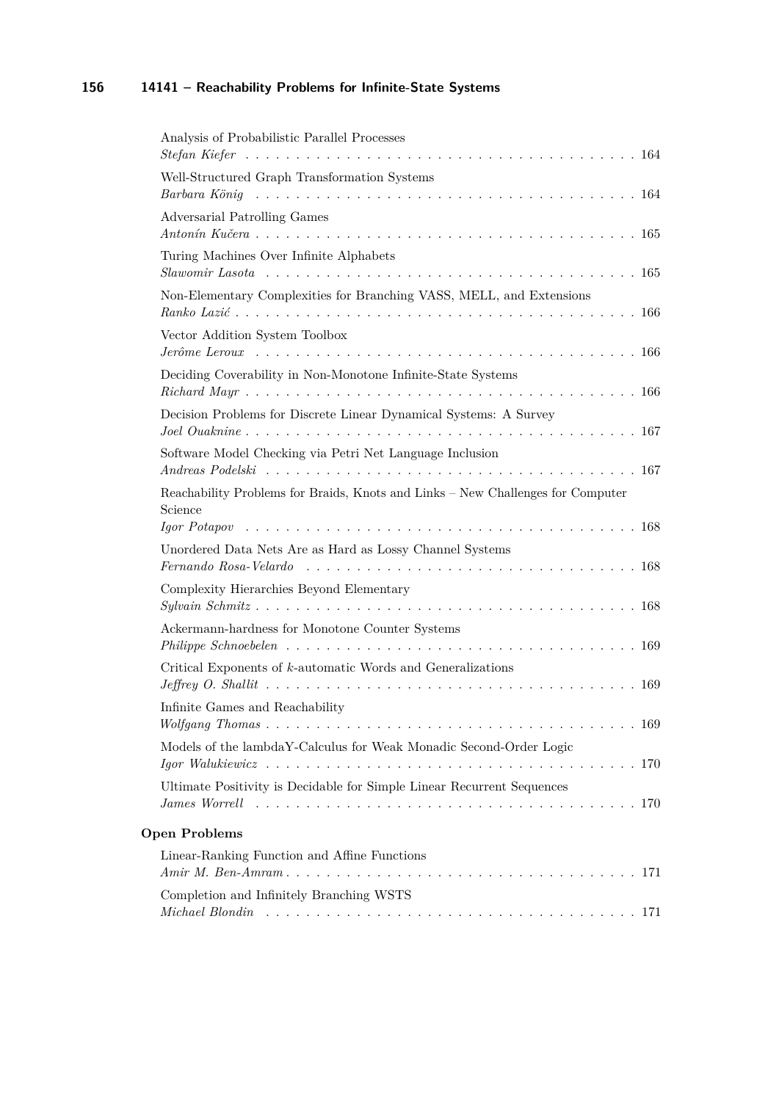| Analysis of Probabilistic Parallel Processes                                                                                                                                |
|-----------------------------------------------------------------------------------------------------------------------------------------------------------------------------|
| Well-Structured Graph Transformation Systems                                                                                                                                |
| Adversarial Patrolling Games                                                                                                                                                |
| Turing Machines Over Infinite Alphabets                                                                                                                                     |
| Non-Elementary Complexities for Branching VASS, MELL, and Extensions                                                                                                        |
| Vector Addition System Toolbox                                                                                                                                              |
| Deciding Coverability in Non-Monotone Infinite-State Systems                                                                                                                |
| Decision Problems for Discrete Linear Dynamical Systems: A Survey                                                                                                           |
| Software Model Checking via Petri Net Language Inclusion                                                                                                                    |
| Reachability Problems for Braids, Knots and Links - New Challenges for Computer<br>Science                                                                                  |
| Unordered Data Nets Are as Hard as Lossy Channel Systems<br>Fernando Rosa-Velardo $\ldots \ldots \ldots \ldots \ldots \ldots \ldots \ldots \ldots \ldots \ldots \ldots 168$ |
| Complexity Hierarchies Beyond Elementary                                                                                                                                    |
| Ackermann-hardness for Monotone Counter Systems<br>$Philippe Schnoebelen \ldots \ldots \ldots \ldots \ldots \ldots \ldots \ldots \ldots \ldots 169$                         |
| Critical Exponents of k-automatic Words and Generalizations                                                                                                                 |
| Infinite Games and Reachability                                                                                                                                             |
| Models of the lambdaY-Calculus for Weak Monadic Second-Order Logic                                                                                                          |
| Ultimate Positivity is Decidable for Simple Linear Recurrent Sequences                                                                                                      |
| <b>Open Problems</b>                                                                                                                                                        |
| Linear-Ranking Function and Affine Functions                                                                                                                                |
| Completion and Infinitely Branching WSTS                                                                                                                                    |
|                                                                                                                                                                             |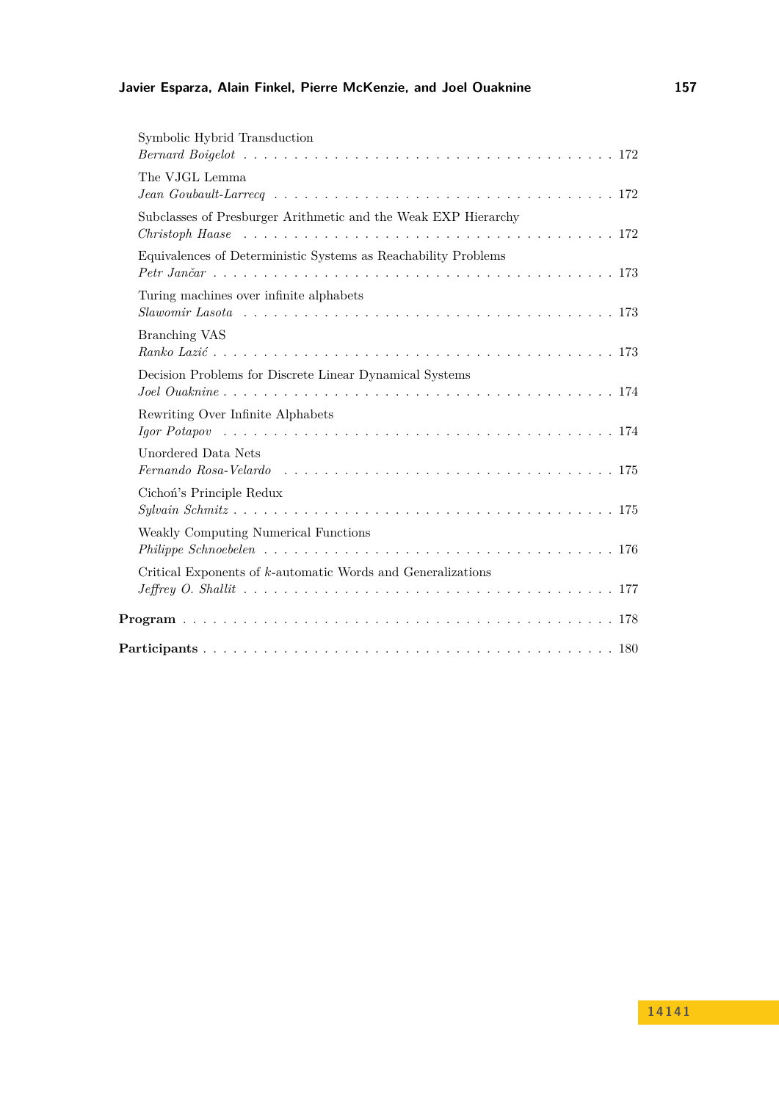## **Javier Esparza, Alain Finkel, Pierre McKenzie, and Joel Ouaknine 157**

| Symbolic Hybrid Transduction                                                                                               |
|----------------------------------------------------------------------------------------------------------------------------|
| The VJGL Lemma<br>$Jean Goubault-Larrecq \ldots \ldots \ldots \ldots \ldots \ldots \ldots \ldots \ldots \ldots \ldots 172$ |
| Subclasses of Presburger Arithmetic and the Weak EXP Hierarchy                                                             |
| Equivalences of Deterministic Systems as Reachability Problems                                                             |
| Turing machines over infinite alphabets                                                                                    |
| <b>Branching VAS</b>                                                                                                       |
| Decision Problems for Discrete Linear Dynamical Systems                                                                    |
| Rewriting Over Infinite Alphabets                                                                                          |
| Unordered Data Nets                                                                                                        |
| Cichoń's Principle Redux                                                                                                   |
| Weakly Computing Numerical Functions                                                                                       |
| Critical Exponents of $k$ -automatic Words and Generalizations                                                             |
|                                                                                                                            |
|                                                                                                                            |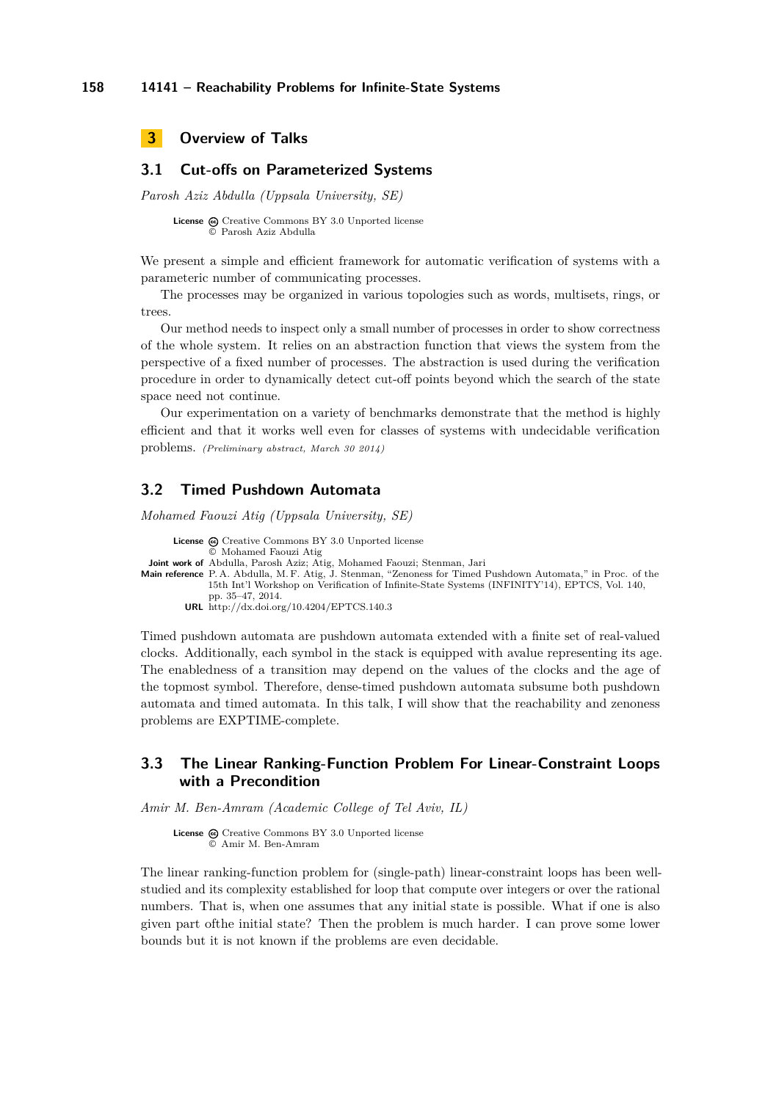<span id="page-5-0"></span>

### <span id="page-5-1"></span>**3.1 Cut-offs on Parameterized Systems**

*Parosh Aziz Abdulla (Uppsala University, SE)*

License  $\textcircled{a}$  [Creative Commons BY 3.0 Unported](http://creativecommons.org/licenses/by/3.0/) license © [Parosh Aziz Abdulla](#page-5-1)

We present a simple and efficient framework for automatic verification of systems with a parameteric number of communicating processes.

The processes may be organized in various topologies such as words, multisets, rings, or trees.

Our method needs to inspect only a small number of processes in order to show correctness of the whole system. It relies on an abstraction function that views the system from the perspective of a fixed number of processes. The abstraction is used during the verification procedure in order to dynamically detect cut-off points beyond which the search of the state space need not continue.

Our experimentation on a variety of benchmarks demonstrate that the method is highly efficient and that it works well even for classes of systems with undecidable verification problems. *(Preliminary abstract, March 30 2014)*

#### <span id="page-5-2"></span>**3.2 Timed Pushdown Automata**

*Mohamed Faouzi Atig (Uppsala University, SE)*

```
License \textcircled{c}Creative Commons BY 3.0 Unported license
                © Mohamed Faouzi Atig
 Joint work of Abdulla, Parosh Aziz; Atig, Mohamed Faouzi; Stenman, Jari
Main reference P. A. Abdulla, M. F. Atig, J. Stenman, "Zenoness for Timed Pushdown Automata," in Proc. of the
              15th Int'l Workshop on Verification of Infinite-State Systems (INFINITY'14), EPTCS, Vol. 140,
              pp. 35–47, 2014.
         URL http://dx.doi.org/10.4204/EPTCS.140.3
```
Timed pushdown automata are pushdown automata extended with a finite set of real-valued clocks. Additionally, each symbol in the stack is equipped with avalue representing its age. The enabledness of a transition may depend on the values of the clocks and the age of the topmost symbol. Therefore, dense-timed pushdown automata subsume both pushdown automata and timed automata. In this talk, I will show that the reachability and zenoness problems are EXPTIME-complete.

### <span id="page-5-3"></span>**3.3 The Linear Ranking-Function Problem For Linear-Constraint Loops with a Precondition**

*Amir M. Ben-Amram (Academic College of Tel Aviv, IL)*

License  $\bigcirc$  [Creative Commons BY 3.0 Unported](http://creativecommons.org/licenses/by/3.0/) license © [Amir M. Ben-Amram](#page-5-3)

The linear ranking-function problem for (single-path) linear-constraint loops has been wellstudied and its complexity established for loop that compute over integers or over the rational numbers. That is, when one assumes that any initial state is possible. What if one is also given part ofthe initial state? Then the problem is much harder. I can prove some lower bounds but it is not known if the problems are even decidable.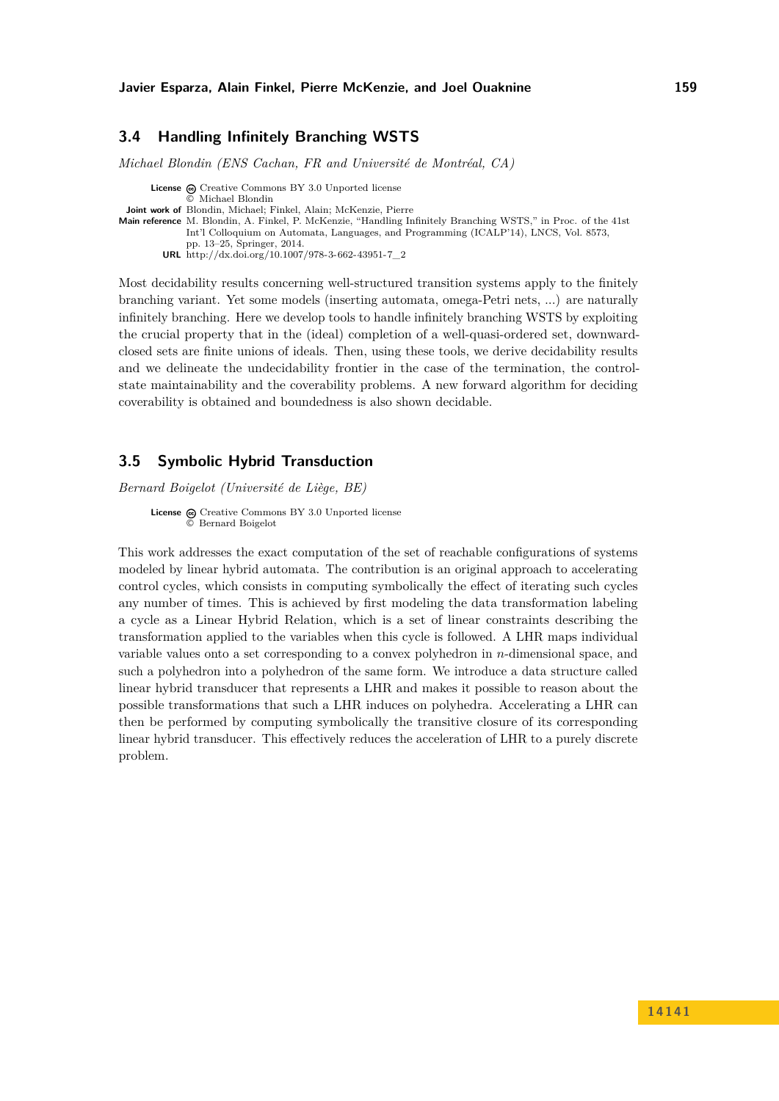### <span id="page-6-0"></span>**3.4 Handling Infinitely Branching WSTS**

*Michael Blondin (ENS Cachan, FR and Université de Montréal, CA)*

**License**  $\textcircled{e}$  [Creative Commons BY 3.0 Unported](http://creativecommons.org/licenses/by/3.0/) license © [Michael Blondin](#page-6-0) **Joint work of** Blondin, Michael; Finkel, Alain; McKenzie, Pierre **Main reference** [M. Blondin, A. Finkel, P. McKenzie, "Handling Infinitely Branching WSTS," in Proc. of the 41st](http://dx.doi.org/10.1007/978-3-662-43951-7_2) [Int'l Colloquium on Automata, Languages, and Programming \(ICALP'14\), LNCS, Vol. 8573,](http://dx.doi.org/10.1007/978-3-662-43951-7_2) [pp. 13–25, Springer, 2014.](http://dx.doi.org/10.1007/978-3-662-43951-7_2) **URL** [http://dx.doi.org/10.1007/978-3-662-43951-7\\_2](http://dx.doi.org/10.1007/978-3-662-43951-7_2)

Most decidability results concerning well-structured transition systems apply to the finitely branching variant. Yet some models (inserting automata, omega-Petri nets, ...) are naturally infinitely branching. Here we develop tools to handle infinitely branching WSTS by exploiting the crucial property that in the (ideal) completion of a well-quasi-ordered set, downwardclosed sets are finite unions of ideals. Then, using these tools, we derive decidability results and we delineate the undecidability frontier in the case of the termination, the controlstate maintainability and the coverability problems. A new forward algorithm for deciding coverability is obtained and boundedness is also shown decidable.

### <span id="page-6-1"></span>**3.5 Symbolic Hybrid Transduction**

*Bernard Boigelot (Université de Liège, BE)*

**License**  $\textcircled{e}$  [Creative Commons BY 3.0 Unported](http://creativecommons.org/licenses/by/3.0/) license © [Bernard Boigelot](#page-6-1)

This work addresses the exact computation of the set of reachable configurations of systems modeled by linear hybrid automata. The contribution is an original approach to accelerating control cycles, which consists in computing symbolically the effect of iterating such cycles any number of times. This is achieved by first modeling the data transformation labeling a cycle as a Linear Hybrid Relation, which is a set of linear constraints describing the transformation applied to the variables when this cycle is followed. A LHR maps individual variable values onto a set corresponding to a convex polyhedron in *n*-dimensional space, and such a polyhedron into a polyhedron of the same form. We introduce a data structure called linear hybrid transducer that represents a LHR and makes it possible to reason about the possible transformations that such a LHR induces on polyhedra. Accelerating a LHR can then be performed by computing symbolically the transitive closure of its corresponding linear hybrid transducer. This effectively reduces the acceleration of LHR to a purely discrete problem.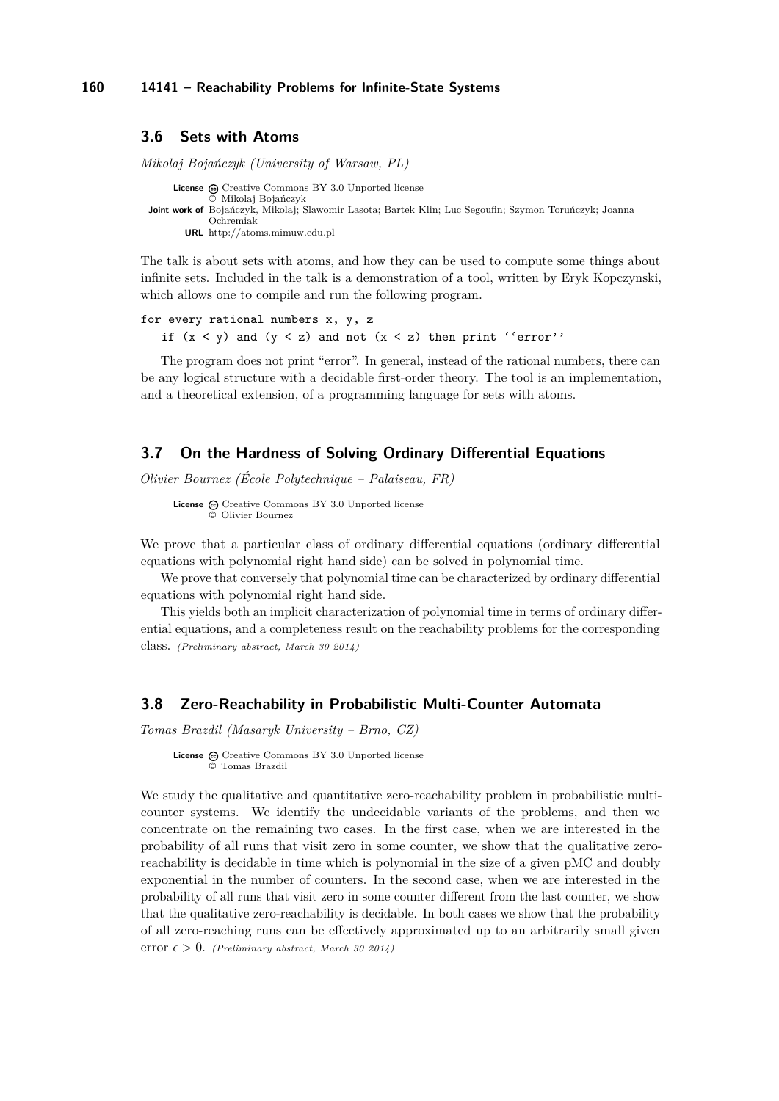#### <span id="page-7-0"></span>**3.6 Sets with Atoms**

*Mikolaj Bojańczyk (University of Warsaw, PL)*

**License**  $\odot$  [Creative Commons BY 3.0 Unported](http://creativecommons.org/licenses/by/3.0/) license © [Mikolaj Bojańczyk](#page-7-0) **Joint work of** Bojańczyk, Mikolaj; Slawomir Lasota; Bartek Klin; Luc Segoufin; Szymon Toruńczyk; Joanna Ochremiak **URL** <http://atoms.mimuw.edu.pl>

The talk is about sets with atoms, and how they can be used to compute some things about infinite sets. Included in the talk is a demonstration of a tool, written by Eryk Kopczynski, which allows one to compile and run the following program.

for every rational numbers x, y, z if  $(x < y)$  and  $(y < z)$  and not  $(x < z)$  then print ''error''

The program does not print "error". In general, instead of the rational numbers, there can be any logical structure with a decidable first-order theory. The tool is an implementation, and a theoretical extension, of a programming language for sets with atoms.

### <span id="page-7-1"></span>**3.7 On the Hardness of Solving Ordinary Differential Equations**

*Olivier Bournez (École Polytechnique – Palaiseau, FR)*

License  $\bigcirc$  [Creative Commons BY 3.0 Unported](http://creativecommons.org/licenses/by/3.0/) license © [Olivier Bournez](#page-7-1)

We prove that a particular class of ordinary differential equations (ordinary differential equations with polynomial right hand side) can be solved in polynomial time.

We prove that conversely that polynomial time can be characterized by ordinary differential equations with polynomial right hand side.

This yields both an implicit characterization of polynomial time in terms of ordinary differential equations, and a completeness result on the reachability problems for the corresponding class. *(Preliminary abstract, March 30 2014)*

### <span id="page-7-2"></span>**3.8 Zero-Reachability in Probabilistic Multi-Counter Automata**

*Tomas Brazdil (Masaryk University – Brno, CZ)*

License  $\bigcirc$  [Creative Commons BY 3.0 Unported](http://creativecommons.org/licenses/by/3.0/) license © [Tomas Brazdil](#page-7-2)

We study the qualitative and quantitative zero-reachability problem in probabilistic multicounter systems. We identify the undecidable variants of the problems, and then we concentrate on the remaining two cases. In the first case, when we are interested in the probability of all runs that visit zero in some counter, we show that the qualitative zeroreachability is decidable in time which is polynomial in the size of a given pMC and doubly exponential in the number of counters. In the second case, when we are interested in the probability of all runs that visit zero in some counter different from the last counter, we show that the qualitative zero-reachability is decidable. In both cases we show that the probability of all zero-reaching runs can be effectively approximated up to an arbitrarily small given error  $\epsilon > 0$ . *(Preliminary abstract, March 30 2014)*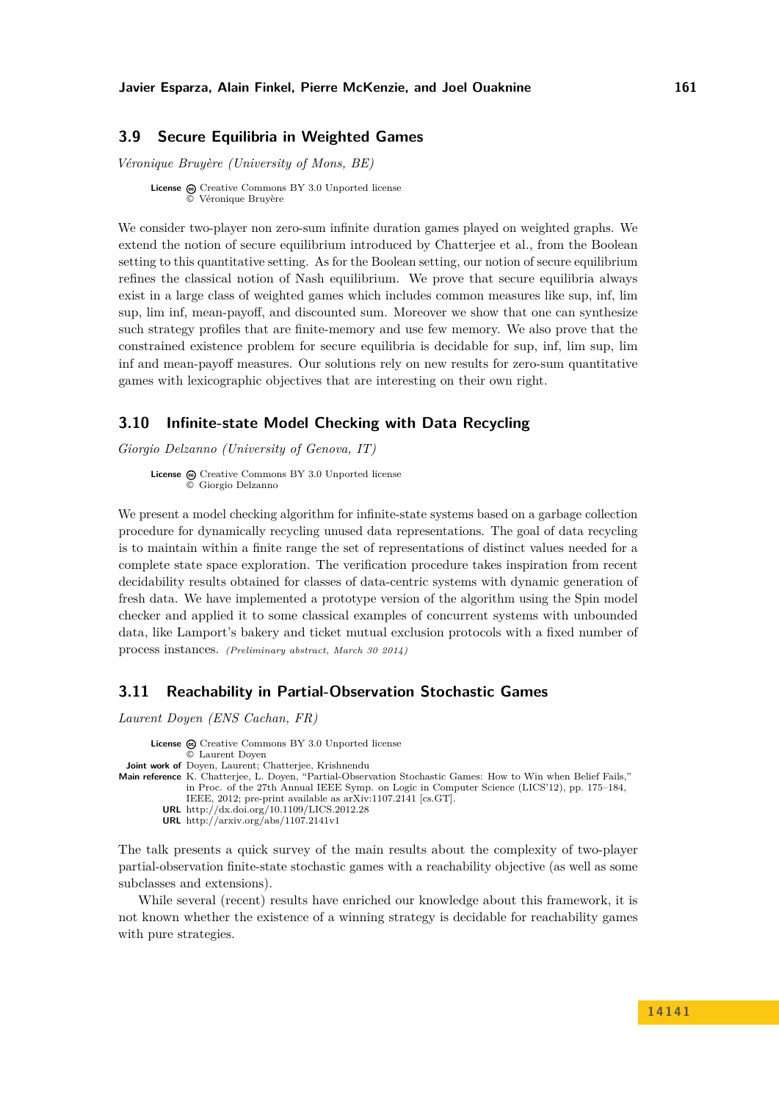### <span id="page-8-0"></span>**3.9 Secure Equilibria in Weighted Games**

*Véronique Bruyère (University of Mons, BE)*

**License**  $\textcircled{e}$  [Creative Commons BY 3.0 Unported](http://creativecommons.org/licenses/by/3.0/) license [Véronique Bruyère](#page-8-0)

We consider two-player non zero-sum infinite duration games played on weighted graphs. We extend the notion of secure equilibrium introduced by Chatterjee et al., from the Boolean setting to this quantitative setting. As for the Boolean setting, our notion of secure equilibrium refines the classical notion of Nash equilibrium. We prove that secure equilibria always exist in a large class of weighted games which includes common measures like sup, inf, lim sup, lim inf, mean-payoff, and discounted sum. Moreover we show that one can synthesize such strategy profiles that are finite-memory and use few memory. We also prove that the constrained existence problem for secure equilibria is decidable for sup, inf, lim sup, lim inf and mean-payoff measures. Our solutions rely on new results for zero-sum quantitative games with lexicographic objectives that are interesting on their own right.

### <span id="page-8-1"></span>**3.10 Infinite-state Model Checking with Data Recycling**

*Giorgio Delzanno (University of Genova, IT)*

License  $\textcircled{c}$  [Creative Commons BY 3.0 Unported](http://creativecommons.org/licenses/by/3.0/) license © [Giorgio Delzanno](#page-8-1)

We present a model checking algorithm for infinite-state systems based on a garbage collection procedure for dynamically recycling unused data representations. The goal of data recycling is to maintain within a finite range the set of representations of distinct values needed for a complete state space exploration. The verification procedure takes inspiration from recent decidability results obtained for classes of data-centric systems with dynamic generation of fresh data. We have implemented a prototype version of the algorithm using the Spin model checker and applied it to some classical examples of concurrent systems with unbounded data, like Lamport's bakery and ticket mutual exclusion protocols with a fixed number of process instances. *(Preliminary abstract, March 30 2014)*

### <span id="page-8-2"></span>**3.11 Reachability in Partial-Observation Stochastic Games**

*Laurent Doyen (ENS Cachan, FR)*

```
License \textcircled{c}Creative Commons BY 3.0 Unported license
               © Laurent Doyen
 Joint work of Doyen, Laurent; Chatterjee, Krishnendu
Main reference K. Chatterjee, L. Doyen, "Partial-Observation Stochastic Games: How to Win when Belief Fails,"
              in Proc. of the 27th Annual IEEE Symp. on Logic in Computer Science (LICS'12), pp. 175–184,
              IEEE, 2012; pre-print available as arXiv:1107.2141 [cs.GT].
         URL http://dx.doi.org/10.1109/LICS.2012.28
         URL http://arxiv.org/abs/1107.2141v1
```
The talk presents a quick survey of the main results about the complexity of two-player partial-observation finite-state stochastic games with a reachability objective (as well as some subclasses and extensions).

While several (recent) results have enriched our knowledge about this framework, it is not known whether the existence of a winning strategy is decidable for reachability games with pure strategies.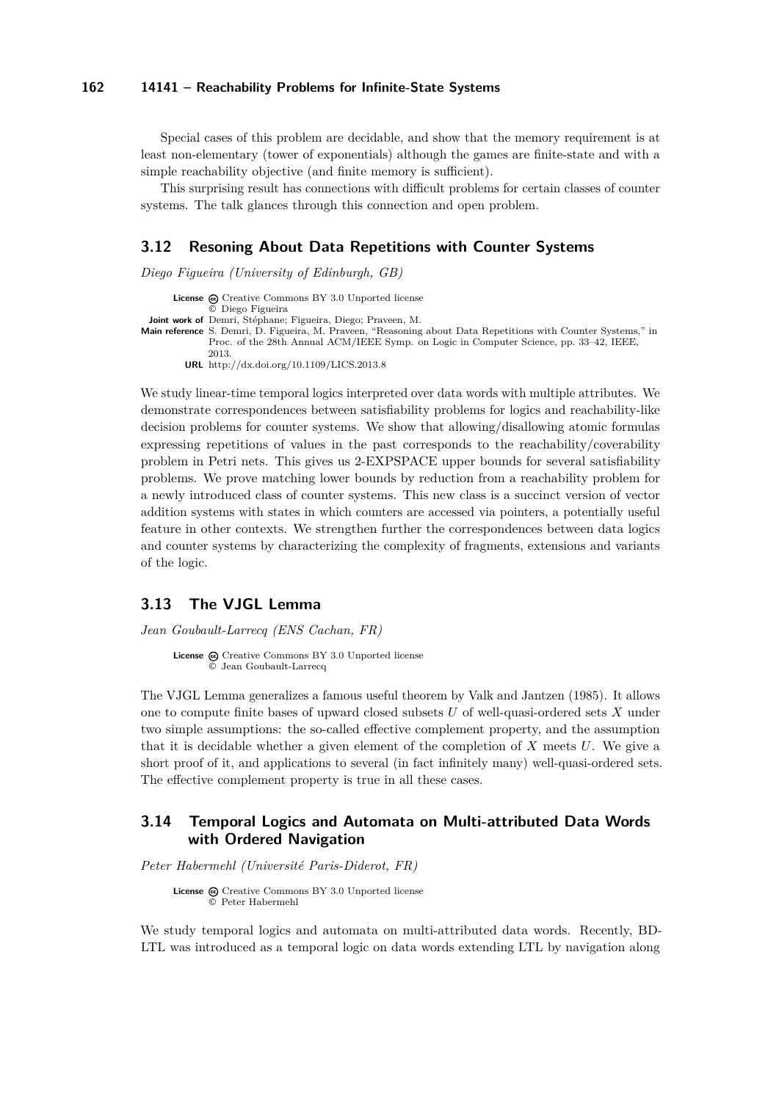Special cases of this problem are decidable, and show that the memory requirement is at least non-elementary (tower of exponentials) although the games are finite-state and with a simple reachability objective (and finite memory is sufficient).

This surprising result has connections with difficult problems for certain classes of counter systems. The talk glances through this connection and open problem.

#### <span id="page-9-0"></span>**3.12 Resoning About Data Repetitions with Counter Systems**

*Diego Figueira (University of Edinburgh, GB)*

**License**  $\odot$  [Creative Commons BY 3.0 Unported](http://creativecommons.org/licenses/by/3.0/) license © [Diego Figueira](#page-9-0) **Joint work of** Demri, Stéphane; Figueira, Diego; Praveen, M. **Main reference** [S. Demri, D. Figueira, M. Praveen, "Reasoning about Data Repetitions with Counter Systems," in](http://dx.doi.org/10.1109/LICS.2013.8) [Proc. of the 28th Annual ACM/IEEE Symp. on Logic in Computer Science, pp. 33–42, IEEE,](http://dx.doi.org/10.1109/LICS.2013.8) [2013.](http://dx.doi.org/10.1109/LICS.2013.8) **URL** <http://dx.doi.org/10.1109/LICS.2013.8>

We study linear-time temporal logics interpreted over data words with multiple attributes. We demonstrate correspondences between satisfiability problems for logics and reachability-like decision problems for counter systems. We show that allowing/disallowing atomic formulas expressing repetitions of values in the past corresponds to the reachability/coverability problem in Petri nets. This gives us 2-EXPSPACE upper bounds for several satisfiability problems. We prove matching lower bounds by reduction from a reachability problem for a newly introduced class of counter systems. This new class is a succinct version of vector addition systems with states in which counters are accessed via pointers, a potentially useful feature in other contexts. We strengthen further the correspondences between data logics and counter systems by characterizing the complexity of fragments, extensions and variants of the logic.

#### <span id="page-9-1"></span>**3.13 The VJGL Lemma**

*Jean Goubault-Larrecq (ENS Cachan, FR)*

License  $\bigcirc$  [Creative Commons BY 3.0 Unported](http://creativecommons.org/licenses/by/3.0/) license © [Jean Goubault-Larrecq](#page-9-1)

The VJGL Lemma generalizes a famous useful theorem by Valk and Jantzen (1985). It allows one to compute finite bases of upward closed subsets *U* of well-quasi-ordered sets *X* under two simple assumptions: the so-called effective complement property, and the assumption that it is decidable whether a given element of the completion of *X* meets *U*. We give a short proof of it, and applications to several (in fact infinitely many) well-quasi-ordered sets. The effective complement property is true in all these cases.

### <span id="page-9-2"></span>**3.14 Temporal Logics and Automata on Multi-attributed Data Words with Ordered Navigation**

*Peter Habermehl (Université Paris-Diderot, FR)*

```
License \odotCreative Commons BY 3.0 Unported license
       © Peter Habermehl
```
We study temporal logics and automata on multi-attributed data words. Recently, BD-LTL was introduced as a temporal logic on data words extending LTL by navigation along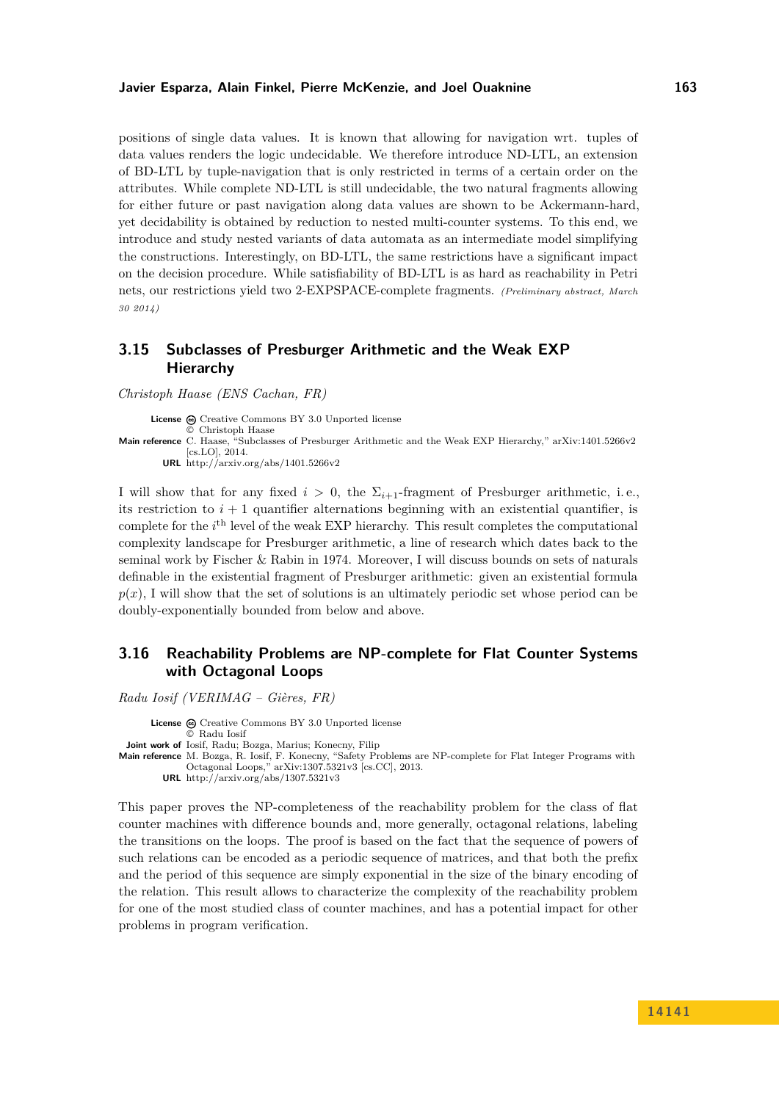#### **Javier Esparza, Alain Finkel, Pierre McKenzie, and Joel Ouaknine 163**

positions of single data values. It is known that allowing for navigation wrt. tuples of data values renders the logic undecidable. We therefore introduce ND-LTL, an extension of BD-LTL by tuple-navigation that is only restricted in terms of a certain order on the attributes. While complete ND-LTL is still undecidable, the two natural fragments allowing for either future or past navigation along data values are shown to be Ackermann-hard, yet decidability is obtained by reduction to nested multi-counter systems. To this end, we introduce and study nested variants of data automata as an intermediate model simplifying the constructions. Interestingly, on BD-LTL, the same restrictions have a significant impact on the decision procedure. While satisfiability of BD-LTL is as hard as reachability in Petri nets, our restrictions yield two 2-EXPSPACE-complete fragments. *(Preliminary abstract, March 30 2014)*

### <span id="page-10-0"></span>**3.15 Subclasses of Presburger Arithmetic and the Weak EXP Hierarchy**

*Christoph Haase (ENS Cachan, FR)*

**License**  $\textcircled{e}$  [Creative Commons BY 3.0 Unported](http://creativecommons.org/licenses/by/3.0/) license © [Christoph Haase](#page-10-0) **Main reference** [C. Haase, "Subclasses of Presburger Arithmetic and the Weak EXP Hierarchy," arXiv:1401.5266v2](http://arxiv.org/abs/1401.5266v2) [\[cs.LO\], 2014.](http://arxiv.org/abs/1401.5266v2) **URL** <http://arxiv.org/abs/1401.5266v2>

I will show that for any fixed  $i > 0$ , the  $\Sigma_{i+1}$ -fragment of Presburger arithmetic, i.e., its restriction to  $i + 1$  quantifier alternations beginning with an existential quantifier, is complete for the *i*<sup>th</sup> level of the weak EXP hierarchy. This result completes the computational complexity landscape for Presburger arithmetic, a line of research which dates back to the seminal work by Fischer & Rabin in 1974. Moreover, I will discuss bounds on sets of naturals definable in the existential fragment of Presburger arithmetic: given an existential formula  $p(x)$ , I will show that the set of solutions is an ultimately periodic set whose period can be doubly-exponentially bounded from below and above.

### <span id="page-10-1"></span>**3.16 Reachability Problems are NP-complete for Flat Counter Systems with Octagonal Loops**

*Radu Iosif (VERIMAG – Gières, FR)*

License  $\textcircled{a}$  [Creative Commons BY 3.0 Unported](http://creativecommons.org/licenses/by/3.0/) license © [Radu Iosif](#page-10-1) **Joint work of** Iosif, Radu; Bozga, Marius; Konecny, Filip **Main reference** [M. Bozga, R. Iosif, F. Konecny, "Safety Problems are NP-complete for Flat Integer Programs with](http://arxiv.org/abs/1307.5321v3) [Octagonal Loops," arXiv:1307.5321v3 \[cs.CC\], 2013.](http://arxiv.org/abs/1307.5321v3) **URL** <http://arxiv.org/abs/1307.5321v3>

This paper proves the NP-completeness of the reachability problem for the class of flat counter machines with difference bounds and, more generally, octagonal relations, labeling the transitions on the loops. The proof is based on the fact that the sequence of powers of such relations can be encoded as a periodic sequence of matrices, and that both the prefix and the period of this sequence are simply exponential in the size of the binary encoding of the relation. This result allows to characterize the complexity of the reachability problem for one of the most studied class of counter machines, and has a potential impact for other problems in program verification.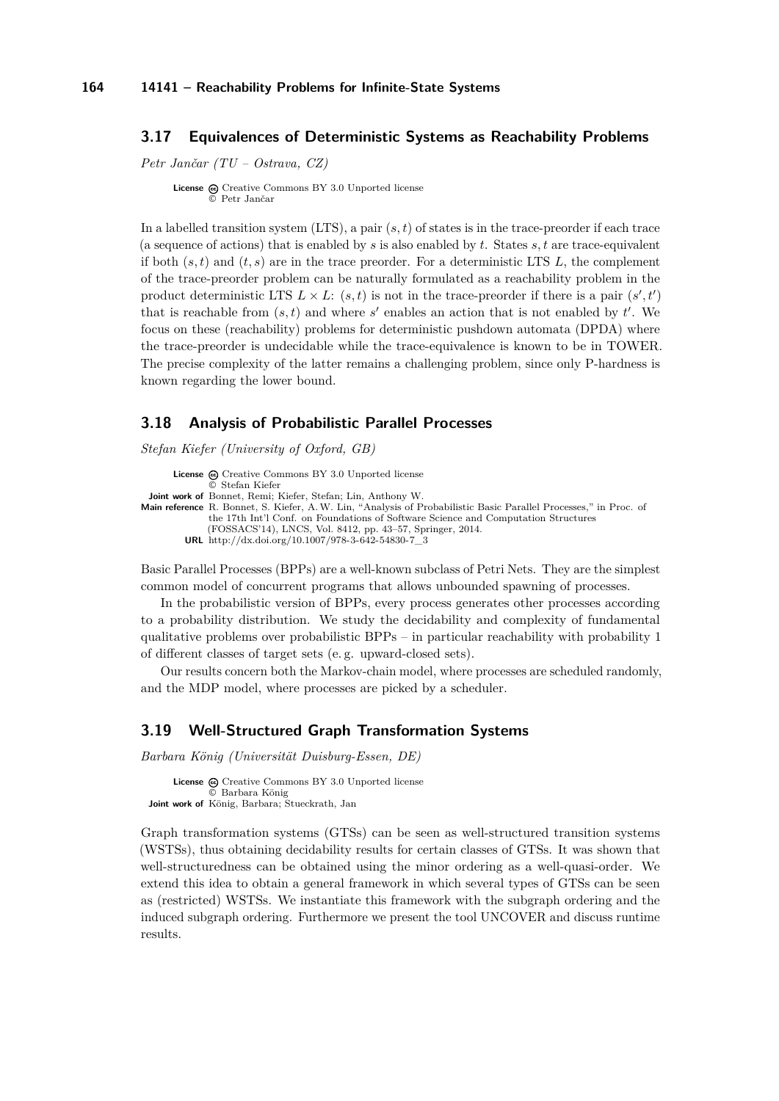### <span id="page-11-0"></span>**3.17 Equivalences of Deterministic Systems as Reachability Problems**

*Petr Jančar (TU – Ostrava, CZ)*

**License**  $\odot$  [Creative Commons BY 3.0 Unported](http://creativecommons.org/licenses/by/3.0/) license [Petr Jančar](#page-11-0)

In a labelled transition system (LTS), a pair (*s, t*) of states is in the trace-preorder if each trace (a sequence of actions) that is enabled by *s* is also enabled by *t*. States *s, t* are trace-equivalent if both  $(s, t)$  and  $(t, s)$  are in the trace preorder. For a deterministic LTS L, the complement of the trace-preorder problem can be naturally formulated as a reachability problem in the product deterministic LTS  $L \times L$ :  $(s, t)$  is not in the trace-preorder if there is a pair  $(s', t')$ that is reachable from  $(s, t)$  and where  $s'$  enables an action that is not enabled by  $t'$ . We focus on these (reachability) problems for deterministic pushdown automata (DPDA) where the trace-preorder is undecidable while the trace-equivalence is known to be in TOWER. The precise complexity of the latter remains a challenging problem, since only P-hardness is known regarding the lower bound.

### <span id="page-11-1"></span>**3.18 Analysis of Probabilistic Parallel Processes**

*Stefan Kiefer (University of Oxford, GB)*

```
License \textcircled{c}Creative Commons BY 3.0 Unported license
               © Stefan Kiefer
 Joint work of Bonnet, Remi; Kiefer, Stefan; Lin, Anthony W.
Main reference R. Bonnet, S. Kiefer, A.W. Lin, "Analysis of Probabilistic Basic Parallel Processes," in Proc. of
              the 17th Int'l Conf. on Foundations of Software Science and Computation Structures
              (FOSSACS'14), LNCS, Vol. 8412, pp. 43–57, Springer, 2014.
         URL http://dx.doi.org/10.1007/978-3-642-54830-7_3
```
Basic Parallel Processes (BPPs) are a well-known subclass of Petri Nets. They are the simplest common model of concurrent programs that allows unbounded spawning of processes.

In the probabilistic version of BPPs, every process generates other processes according to a probability distribution. We study the decidability and complexity of fundamental qualitative problems over probabilistic BPPs – in particular reachability with probability 1 of different classes of target sets (e. g. upward-closed sets).

Our results concern both the Markov-chain model, where processes are scheduled randomly, and the MDP model, where processes are picked by a scheduler.

#### <span id="page-11-2"></span>**3.19 Well-Structured Graph Transformation Systems**

*Barbara König (Universität Duisburg-Essen, DE)*

License  $\textcircled{c}$  [Creative Commons BY 3.0 Unported](http://creativecommons.org/licenses/by/3.0/) license © [Barbara König](#page-11-2) **Joint work of** König, Barbara; Stueckrath, Jan

Graph transformation systems (GTSs) can be seen as well-structured transition systems (WSTSs), thus obtaining decidability results for certain classes of GTSs. It was shown that well-structuredness can be obtained using the minor ordering as a well-quasi-order. We extend this idea to obtain a general framework in which several types of GTSs can be seen as (restricted) WSTSs. We instantiate this framework with the subgraph ordering and the induced subgraph ordering. Furthermore we present the tool UNCOVER and discuss runtime results.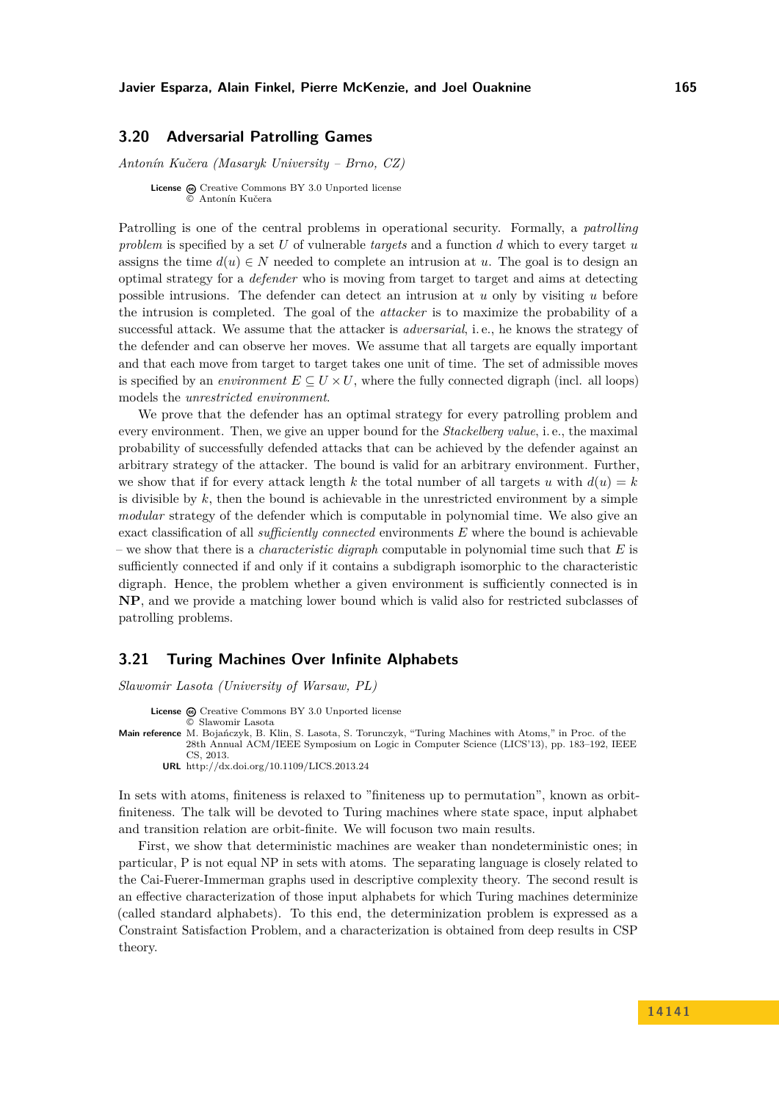#### **Javier Esparza, Alain Finkel, Pierre McKenzie, and Joel Ouaknine 165**

#### <span id="page-12-0"></span>**3.20 Adversarial Patrolling Games**

*Antonín Kučera (Masaryk University – Brno, CZ)*

**License**  $\textcircled{e}$  [Creative Commons BY 3.0 Unported](http://creativecommons.org/licenses/by/3.0/) license © [Antonín Kučera](#page-12-0)

Patrolling is one of the central problems in operational security. Formally, a *patrolling problem* is specified by a set *U* of vulnerable *targets* and a function *d* which to every target *u* assigns the time  $d(u) \in N$  needed to complete an intrusion at *u*. The goal is to design an optimal strategy for a *defender* who is moving from target to target and aims at detecting possible intrusions. The defender can detect an intrusion at *u* only by visiting *u* before the intrusion is completed. The goal of the *attacker* is to maximize the probability of a successful attack. We assume that the attacker is *adversarial*, i. e., he knows the strategy of the defender and can observe her moves. We assume that all targets are equally important and that each move from target to target takes one unit of time. The set of admissible moves is specified by an *environment*  $E \subseteq U \times U$ , where the fully connected digraph (incl. all loops) models the *unrestricted environment*.

We prove that the defender has an optimal strategy for every patrolling problem and every environment. Then, we give an upper bound for the *Stackelberg value*, i. e., the maximal probability of successfully defended attacks that can be achieved by the defender against an arbitrary strategy of the attacker. The bound is valid for an arbitrary environment. Further, we show that if for every attack length *k* the total number of all targets *u* with  $d(u) = k$ is divisible by *k*, then the bound is achievable in the unrestricted environment by a simple *modular* strategy of the defender which is computable in polynomial time. We also give an exact classification of all *sufficiently connected* environments *E* where the bound is achievable – we show that there is a *characteristic digraph* computable in polynomial time such that *E* is sufficiently connected if and only if it contains a subdigraph isomorphic to the characteristic digraph. Hence, the problem whether a given environment is sufficiently connected is in **NP**, and we provide a matching lower bound which is valid also for restricted subclasses of patrolling problems.

#### <span id="page-12-1"></span>**3.21 Turing Machines Over Infinite Alphabets**

*Slawomir Lasota (University of Warsaw, PL)* License  $\textcircled{a}$  [Creative Commons BY 3.0 Unported](http://creativecommons.org/licenses/by/3.0/) license © [Slawomir Lasota](#page-12-1)

**Main reference** [M. Bojańczyk, B. Klin, S. Lasota, S. Torunczyk, "Turing Machines with Atoms," in Proc. of the](http://dx.doi.org/10.1109/LICS.2013.24) [28th Annual ACM/IEEE Symposium on Logic in Computer Science \(LICS'13\), pp. 183–192, IEEE](http://dx.doi.org/10.1109/LICS.2013.24) [CS, 2013.](http://dx.doi.org/10.1109/LICS.2013.24) **URL** <http://dx.doi.org/10.1109/LICS.2013.24>

In sets with atoms, finiteness is relaxed to "finiteness up to permutation", known as orbitfiniteness. The talk will be devoted to Turing machines where state space, input alphabet and transition relation are orbit-finite. We will focuson two main results.

First, we show that deterministic machines are weaker than nondeterministic ones; in particular, P is not equal NP in sets with atoms. The separating language is closely related to the Cai-Fuerer-Immerman graphs used in descriptive complexity theory. The second result is an effective characterization of those input alphabets for which Turing machines determinize (called standard alphabets). To this end, the determinization problem is expressed as a Constraint Satisfaction Problem, and a characterization is obtained from deep results in CSP theory.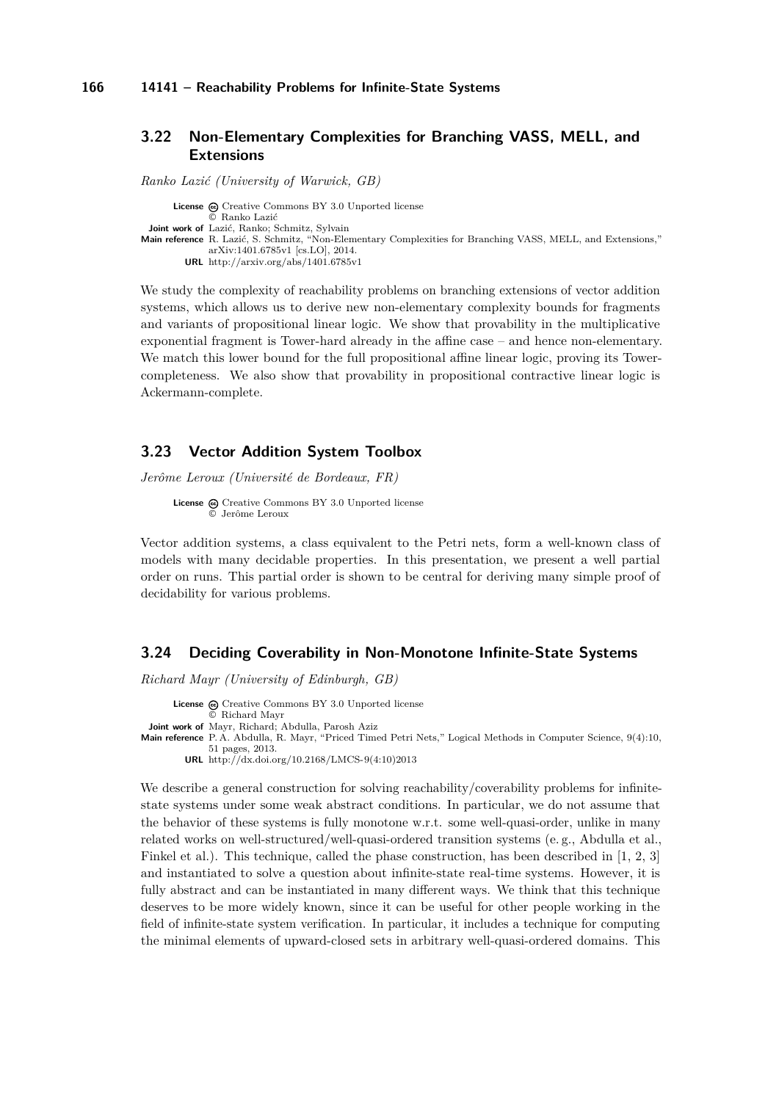*Ranko Lazić (University of Warwick, GB)*

### <span id="page-13-0"></span>**3.22 Non-Elementary Complexities for Branching VASS, MELL, and Extensions**

License  $\textcircled{c}$  [Creative Commons BY 3.0 Unported](http://creativecommons.org/licenses/by/3.0/) license © [Ranko Lazić](#page-13-0) **Joint work of** Lazić, Ranko; Schmitz, Sylvain **Main reference** [R. Lazić, S. Schmitz, "Non-Elementary Complexities for Branching VASS, MELL, and Extensions,"](http://arxiv.org/abs/1401.6785v1) [arXiv:1401.6785v1 \[cs.LO\], 2014.](http://arxiv.org/abs/1401.6785v1) **URL** <http://arxiv.org/abs/1401.6785v1>

We study the complexity of reachability problems on branching extensions of vector addition systems, which allows us to derive new non-elementary complexity bounds for fragments and variants of propositional linear logic. We show that provability in the multiplicative exponential fragment is Tower-hard already in the affine case – and hence non-elementary. We match this lower bound for the full propositional affine linear logic, proving its Towercompleteness. We also show that provability in propositional contractive linear logic is Ackermann-complete.

### <span id="page-13-1"></span>**3.23 Vector Addition System Toolbox**

*Jerôme Leroux (Université de Bordeaux, FR)*

```
License \textcircled{c}Creative Commons BY 3.0 Unported license
           © Jerôme Leroux
```
Vector addition systems, a class equivalent to the Petri nets, form a well-known class of models with many decidable properties. In this presentation, we present a well partial order on runs. This partial order is shown to be central for deriving many simple proof of decidability for various problems.

### <span id="page-13-2"></span>**3.24 Deciding Coverability in Non-Monotone Infinite-State Systems**

*Richard Mayr (University of Edinburgh, GB)*

License  $\textcircled{c}$  [Creative Commons BY 3.0 Unported](http://creativecommons.org/licenses/by/3.0/) license © [Richard Mayr](#page-13-2) **Joint work of** Mayr, Richard; Abdulla, Parosh Aziz **Main reference** [P. A. Abdulla, R. Mayr, "Priced Timed Petri Nets," Logical Methods in Computer Science, 9\(4\):10,](http://dx.doi.org/10.2168/LMCS-9(4:10)2013) [51 pages, 2013.](http://dx.doi.org/10.2168/LMCS-9(4:10)2013) **URL** [http://dx.doi.org/10.2168/LMCS-9\(4:10\)2013](http://dx.doi.org/10.2168/LMCS-9(4:10)2013)

We describe a general construction for solving reachability/coverability problems for infinitestate systems under some weak abstract conditions. In particular, we do not assume that the behavior of these systems is fully monotone w.r.t. some well-quasi-order, unlike in many related works on well-structured/well-quasi-ordered transition systems (e. g., Abdulla et al., Finkel et al.). This technique, called the phase construction, has been described in [\[1,](#page-14-2) [2,](#page-14-3) [3\]](#page-14-4) and instantiated to solve a question about infinite-state real-time systems. However, it is fully abstract and can be instantiated in many different ways. We think that this technique deserves to be more widely known, since it can be useful for other people working in the field of infinite-state system verification. In particular, it includes a technique for computing the minimal elements of upward-closed sets in arbitrary well-quasi-ordered domains. This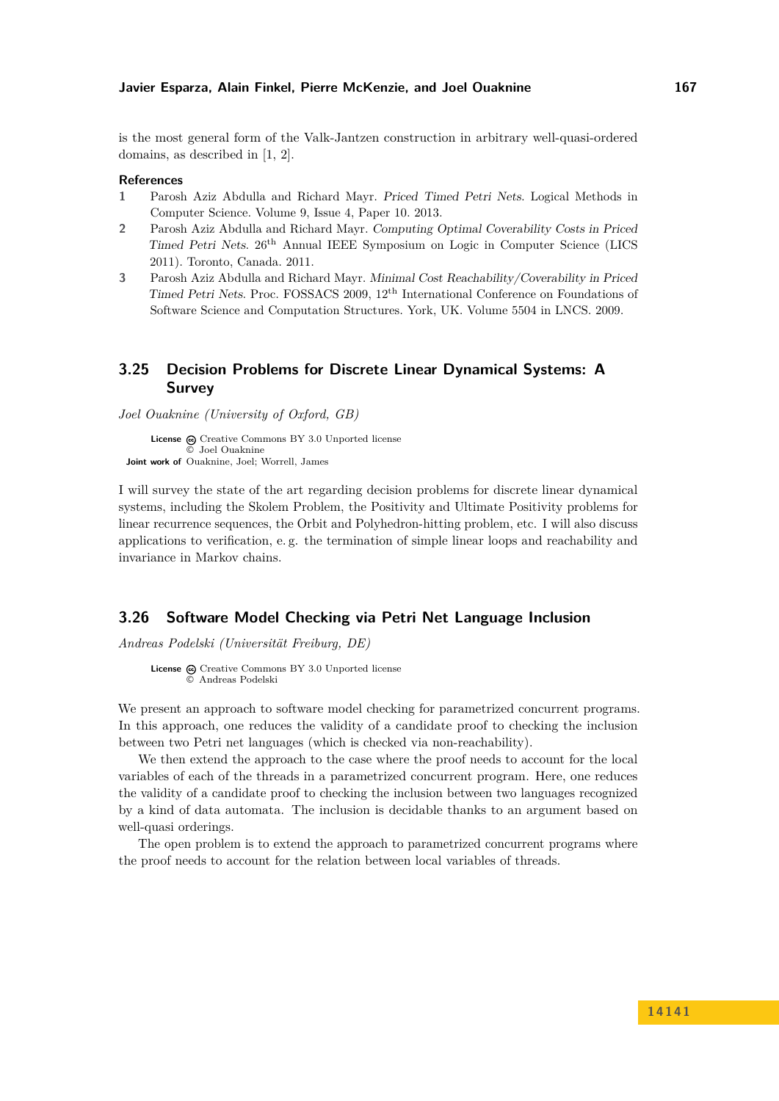is the most general form of the Valk-Jantzen construction in arbitrary well-quasi-ordered domains, as described in [\[1,](#page-14-2) [2\]](#page-14-3).

#### **References**

- <span id="page-14-2"></span>**1** Parosh Aziz Abdulla and Richard Mayr. Priced Timed Petri Nets. Logical Methods in Computer Science. Volume 9, Issue 4, Paper 10. 2013.
- <span id="page-14-3"></span>**2** Parosh Aziz Abdulla and Richard Mayr. Computing Optimal Coverability Costs in Priced Timed Petri Nets. 26th Annual IEEE Symposium on Logic in Computer Science (LICS 2011). Toronto, Canada. 2011.
- <span id="page-14-4"></span>**3** Parosh Aziz Abdulla and Richard Mayr. Minimal Cost Reachability/Coverability in Priced Timed Petri Nets. Proc. FOSSACS 2009, 12th International Conference on Foundations of Software Science and Computation Structures. York, UK. Volume 5504 in LNCS. 2009.

### <span id="page-14-0"></span>**3.25 Decision Problems for Discrete Linear Dynamical Systems: A Survey**

*Joel Ouaknine (University of Oxford, GB)*

License  $\textcircled{c}$  [Creative Commons BY 3.0 Unported](http://creativecommons.org/licenses/by/3.0/) license © [Joel Ouaknine](#page-14-0) **Joint work of** Ouaknine, Joel; Worrell, James

I will survey the state of the art regarding decision problems for discrete linear dynamical systems, including the Skolem Problem, the Positivity and Ultimate Positivity problems for linear recurrence sequences, the Orbit and Polyhedron-hitting problem, etc. I will also discuss applications to verification, e. g. the termination of simple linear loops and reachability and invariance in Markov chains.

#### <span id="page-14-1"></span>**3.26 Software Model Checking via Petri Net Language Inclusion**

*Andreas Podelski (Universität Freiburg, DE)*

**License**  $\omega$  [Creative Commons BY 3.0 Unported](http://creativecommons.org/licenses/by/3.0/) license © [Andreas Podelski](#page-14-1)

We present an approach to software model checking for parametrized concurrent programs. In this approach, one reduces the validity of a candidate proof to checking the inclusion between two Petri net languages (which is checked via non-reachability).

We then extend the approach to the case where the proof needs to account for the local variables of each of the threads in a parametrized concurrent program. Here, one reduces the validity of a candidate proof to checking the inclusion between two languages recognized by a kind of data automata. The inclusion is decidable thanks to an argument based on well-quasi orderings.

The open problem is to extend the approach to parametrized concurrent programs where the proof needs to account for the relation between local variables of threads.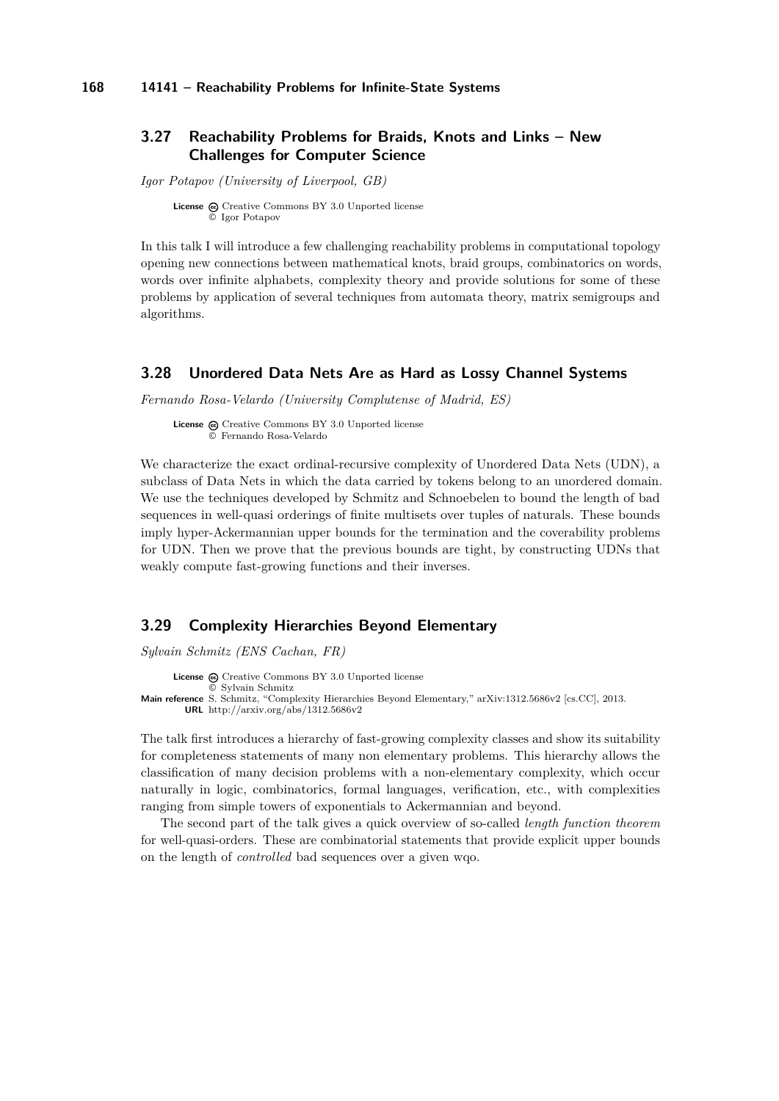### <span id="page-15-0"></span>**3.27 Reachability Problems for Braids, Knots and Links – New Challenges for Computer Science**

*Igor Potapov (University of Liverpool, GB)*

License  $\textcircled{c}$  [Creative Commons BY 3.0 Unported](http://creativecommons.org/licenses/by/3.0/) license © [Igor Potapov](#page-15-0)

In this talk I will introduce a few challenging reachability problems in computational topology opening new connections between mathematical knots, braid groups, combinatorics on words, words over infinite alphabets, complexity theory and provide solutions for some of these problems by application of several techniques from automata theory, matrix semigroups and algorithms.

#### <span id="page-15-1"></span>**3.28 Unordered Data Nets Are as Hard as Lossy Channel Systems**

*Fernando Rosa-Velardo (University Complutense of Madrid, ES)*

**License**  $\textcircled{c}$  [Creative Commons BY 3.0 Unported](http://creativecommons.org/licenses/by/3.0/) license © [Fernando Rosa-Velardo](#page-15-1)

We characterize the exact ordinal-recursive complexity of Unordered Data Nets (UDN), a subclass of Data Nets in which the data carried by tokens belong to an unordered domain. We use the techniques developed by Schmitz and Schnoebelen to bound the length of bad sequences in well-quasi orderings of finite multisets over tuples of naturals. These bounds imply hyper-Ackermannian upper bounds for the termination and the coverability problems for UDN. Then we prove that the previous bounds are tight, by constructing UDNs that weakly compute fast-growing functions and their inverses.

### <span id="page-15-2"></span>**3.29 Complexity Hierarchies Beyond Elementary**

*Sylvain Schmitz (ENS Cachan, FR)*

License  $\textcircled{c}$  [Creative Commons BY 3.0 Unported](http://creativecommons.org/licenses/by/3.0/) license © [Sylvain Schmitz](#page-15-2) **Main reference** [S. Schmitz, "Complexity Hierarchies Beyond Elementary," arXiv:1312.5686v2 \[cs.CC\], 2013.](http://arxiv.org/abs/1312.5686v2) **URL** <http://arxiv.org/abs/1312.5686v2>

The talk first introduces a hierarchy of fast-growing complexity classes and show its suitability for completeness statements of many non elementary problems. This hierarchy allows the classification of many decision problems with a non-elementary complexity, which occur naturally in logic, combinatorics, formal languages, verification, etc., with complexities ranging from simple towers of exponentials to Ackermannian and beyond.

The second part of the talk gives a quick overview of so-called *length function theorem* for well-quasi-orders. These are combinatorial statements that provide explicit upper bounds on the length of *controlled* bad sequences over a given wqo.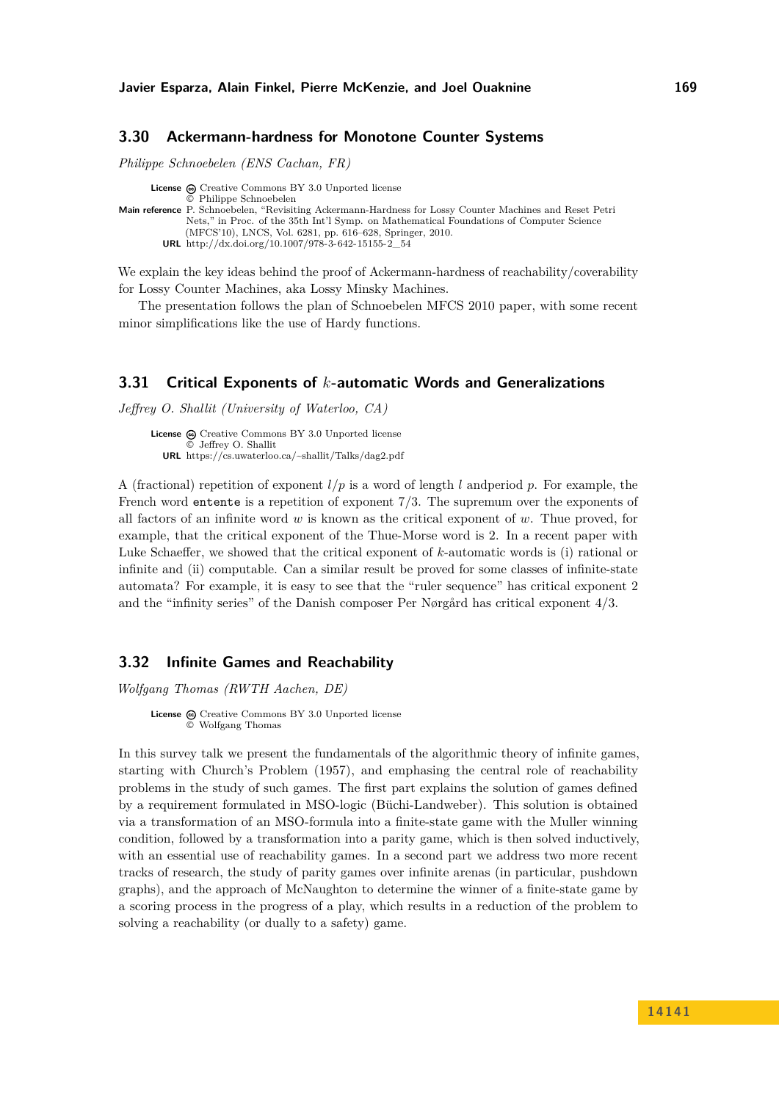### <span id="page-16-0"></span>**3.30 Ackermann-hardness for Monotone Counter Systems**

*Philippe Schnoebelen (ENS Cachan, FR)*

**License**  $\textcircled{e}$  [Creative Commons BY 3.0 Unported](http://creativecommons.org/licenses/by/3.0/) license © [Philippe Schnoebelen](#page-16-0) **Main reference** [P. Schnoebelen, "Revisiting Ackermann-Hardness for Lossy Counter Machines and Reset Petri](http://dx.doi.org/10.1007/978-3-642-15155-2_54) [Nets," in Proc. of the 35th Int'l Symp. on Mathematical Foundations of Computer Science](http://dx.doi.org/10.1007/978-3-642-15155-2_54) [\(MFCS'10\), LNCS, Vol. 6281, pp. 616–628, Springer, 2010.](http://dx.doi.org/10.1007/978-3-642-15155-2_54) **URL** [http://dx.doi.org/10.1007/978-3-642-15155-2\\_54](http://dx.doi.org/10.1007/978-3-642-15155-2_54)

We explain the key ideas behind the proof of Ackermann-hardness of reachability/coverability for Lossy Counter Machines, aka Lossy Minsky Machines.

The presentation follows the plan of Schnoebelen MFCS 2010 paper, with some recent minor simplifications like the use of Hardy functions.

### <span id="page-16-1"></span>**3.31 Critical Exponents of** *k***-automatic Words and Generalizations**

*Jeffrey O. Shallit (University of Waterloo, CA)*

License  $\textcircled{c}$  [Creative Commons BY 3.0 Unported](http://creativecommons.org/licenses/by/3.0/) license © [Jeffrey O. Shallit](#page-16-1) **URL** <https://cs.uwaterloo.ca/~shallit/Talks/dag2.pdf>

A (fractional) repetition of exponent *l/p* is a word of length *l* andperiod *p*. For example, the French word entente is a repetition of exponent 7*/*3. The supremum over the exponents of all factors of an infinite word *w* is known as the critical exponent of *w*. Thue proved, for example, that the critical exponent of the Thue-Morse word is 2. In a recent paper with Luke Schaeffer, we showed that the critical exponent of *k*-automatic words is (i) rational or infinite and (ii) computable. Can a similar result be proved for some classes of infinite-state automata? For example, it is easy to see that the "ruler sequence" has critical exponent 2 and the "infinity series" of the Danish composer Per Nørgård has critical exponent 4*/*3.

### <span id="page-16-2"></span>**3.32 Infinite Games and Reachability**

*Wolfgang Thomas (RWTH Aachen, DE)*

License  $\bigcirc$  [Creative Commons BY 3.0 Unported](http://creativecommons.org/licenses/by/3.0/) license © [Wolfgang Thomas](#page-16-2)

In this survey talk we present the fundamentals of the algorithmic theory of infinite games, starting with Church's Problem (1957), and emphasing the central role of reachability problems in the study of such games. The first part explains the solution of games defined by a requirement formulated in MSO-logic (Büchi-Landweber). This solution is obtained via a transformation of an MSO-formula into a finite-state game with the Muller winning condition, followed by a transformation into a parity game, which is then solved inductively, with an essential use of reachability games. In a second part we address two more recent tracks of research, the study of parity games over infinite arenas (in particular, pushdown graphs), and the approach of McNaughton to determine the winner of a finite-state game by a scoring process in the progress of a play, which results in a reduction of the problem to solving a reachability (or dually to a safety) game.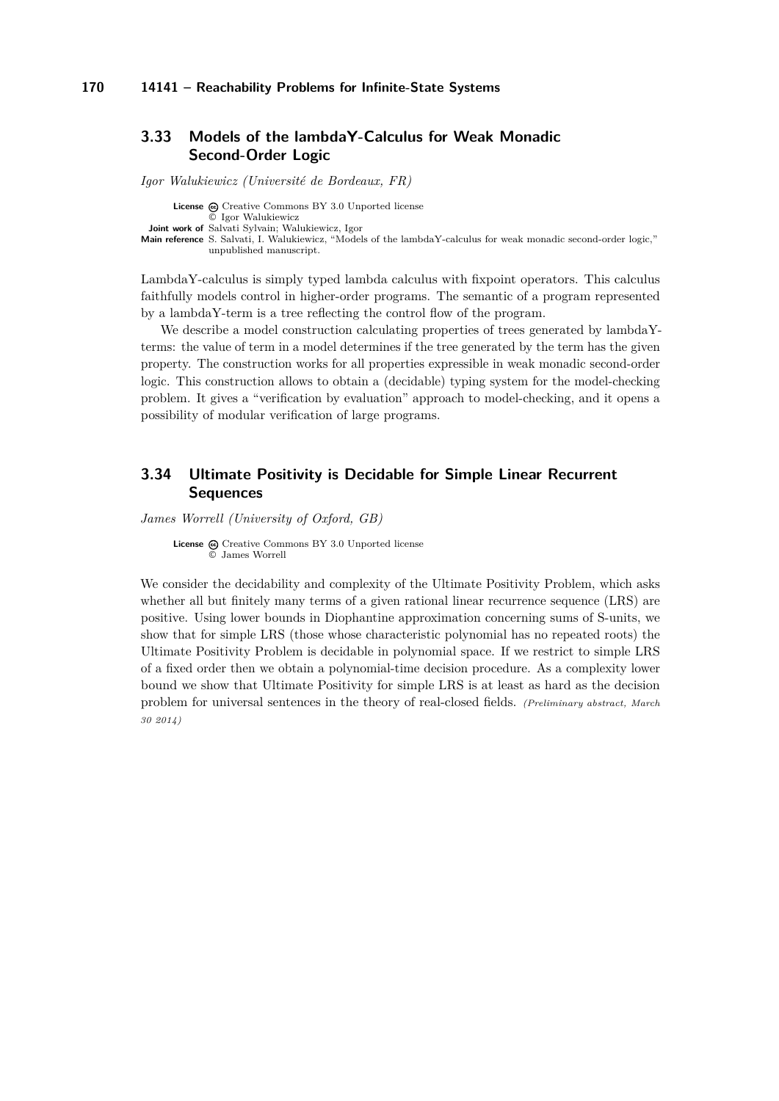### <span id="page-17-0"></span>**3.33 Models of the lambdaY-Calculus for Weak Monadic Second-Order Logic**

*Igor Walukiewicz (Université de Bordeaux, FR)*

License  $\textcircled{c}$  [Creative Commons BY 3.0 Unported](http://creativecommons.org/licenses/by/3.0/) license © [Igor Walukiewicz](#page-17-0) **Joint work of** Salvati Sylvain; Walukiewicz, Igor **Main reference** [S. Salvati, I. Walukiewicz, "Models of the lambdaY-calculus for weak monadic second-order logic,"](S. Salvati, I. Walukiewicz, ``Models of the lambdaY-calculus for weak monadic second-order logic,) [unpublished manuscript.](S. Salvati, I. Walukiewicz, ``Models of the lambdaY-calculus for weak monadic second-order logic,)

LambdaY-calculus is simply typed lambda calculus with fixpoint operators. This calculus faithfully models control in higher-order programs. The semantic of a program represented by a lambdaY-term is a tree reflecting the control flow of the program.

We describe a model construction calculating properties of trees generated by lambdaYterms: the value of term in a model determines if the tree generated by the term has the given property. The construction works for all properties expressible in weak monadic second-order logic. This construction allows to obtain a (decidable) typing system for the model-checking problem. It gives a "verification by evaluation" approach to model-checking, and it opens a possibility of modular verification of large programs.

### <span id="page-17-1"></span>**3.34 Ultimate Positivity is Decidable for Simple Linear Recurrent Sequences**

*James Worrell (University of Oxford, GB)*

License  $\textcircled{c}$  [Creative Commons BY 3.0 Unported](http://creativecommons.org/licenses/by/3.0/) license © [James Worrell](#page-17-1)

We consider the decidability and complexity of the Ultimate Positivity Problem, which asks whether all but finitely many terms of a given rational linear recurrence sequence (LRS) are positive. Using lower bounds in Diophantine approximation concerning sums of S-units, we show that for simple LRS (those whose characteristic polynomial has no repeated roots) the Ultimate Positivity Problem is decidable in polynomial space. If we restrict to simple LRS of a fixed order then we obtain a polynomial-time decision procedure. As a complexity lower bound we show that Ultimate Positivity for simple LRS is at least as hard as the decision problem for universal sentences in the theory of real-closed fields. *(Preliminary abstract, March 30 2014)*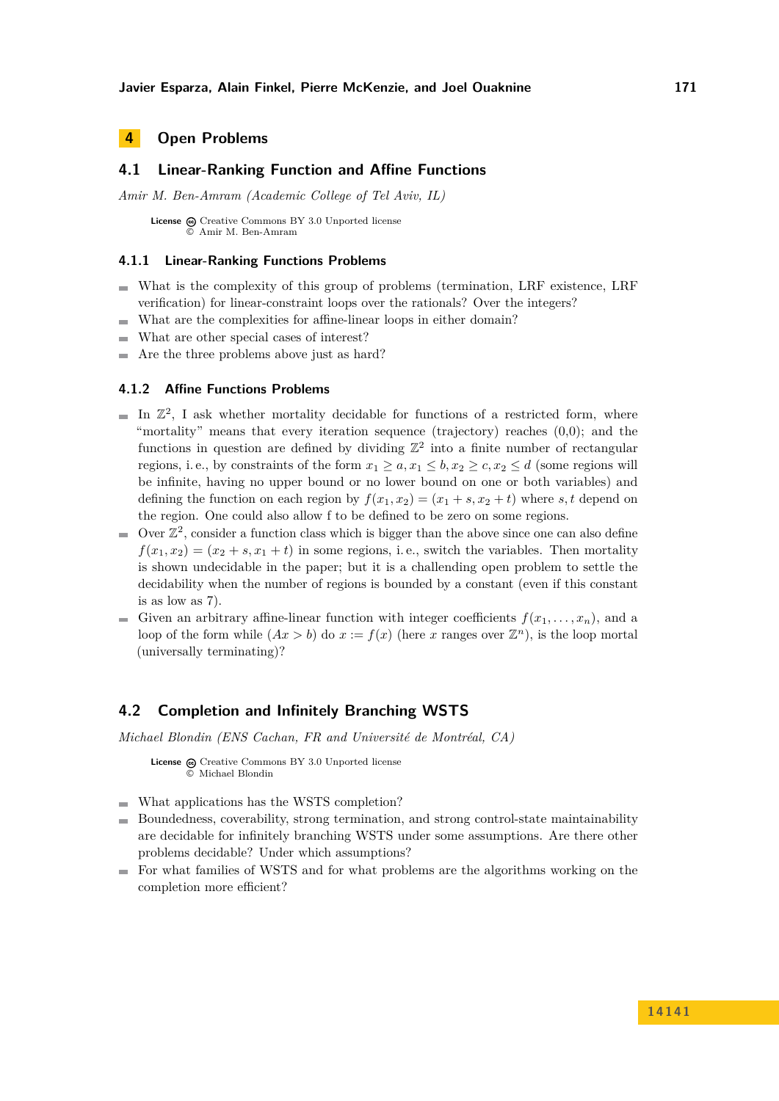### <span id="page-18-0"></span>**4 Open Problems**

### <span id="page-18-1"></span>**4.1 Linear-Ranking Function and Affine Functions**

*Amir M. Ben-Amram (Academic College of Tel Aviv, IL)*

License  $\textcircled{c}$  [Creative Commons BY 3.0 Unported](http://creativecommons.org/licenses/by/3.0/) license © [Amir M. Ben-Amram](#page-18-1)

#### **4.1.1 Linear-Ranking Functions Problems**

- What is the complexity of this group of problems (termination, LRF existence, LRF verification) for linear-constraint loops over the rationals? Over the integers?
- What are the complexities for affine-linear loops in either domain?  $\mathbf{r}$
- What are other special cases of interest?
- Are the three problems above just as hard? ÷

#### **4.1.2 Affine Functions Problems**

- In  $\mathbb{Z}^2$ , I ask whether mortality decidable for functions of a restricted form, where "mortality" means that every iteration sequence (trajectory) reaches  $(0,0)$ ; and the functions in question are defined by dividing  $\mathbb{Z}^2$  into a finite number of rectangular regions, i.e., by constraints of the form  $x_1 \ge a, x_1 \le b, x_2 \ge c, x_2 \le d$  (some regions will be infinite, having no upper bound or no lower bound on one or both variables) and defining the function on each region by  $f(x_1, x_2) = (x_1 + s, x_2 + t)$  where *s*, *t* depend on the region. One could also allow f to be defined to be zero on some regions.
- Over  $\mathbb{Z}^2$ , consider a function class which is bigger than the above since one can also define  $f(x_1, x_2) = (x_2 + s, x_1 + t)$  in some regions, i.e., switch the variables. Then mortality is shown undecidable in the paper; but it is a challending open problem to settle the decidability when the number of regions is bounded by a constant (even if this constant is as low as 7).
- Given an arbitrary affine-linear function with integer coefficients  $f(x_1, \ldots, x_n)$ , and a loop of the form while  $(Ax > b)$  do  $x := f(x)$  (here *x* ranges over  $\mathbb{Z}^n$ ), is the loop mortal (universally terminating)?

### <span id="page-18-2"></span>**4.2 Completion and Infinitely Branching WSTS**

*Michael Blondin (ENS Cachan, FR and Université de Montréal, CA)*

License  $\odot$  [Creative Commons BY 3.0 Unported](http://creativecommons.org/licenses/by/3.0/) license © [Michael Blondin](#page-18-2)

- What applications has the WSTS completion?
- Boundedness, coverability, strong termination, and strong control-state maintainability  $\mathbf{r}$ are decidable for infinitely branching WSTS under some assumptions. Are there other problems decidable? Under which assumptions?
- $\blacksquare$  For what families of WSTS and for what problems are the algorithms working on the completion more efficient?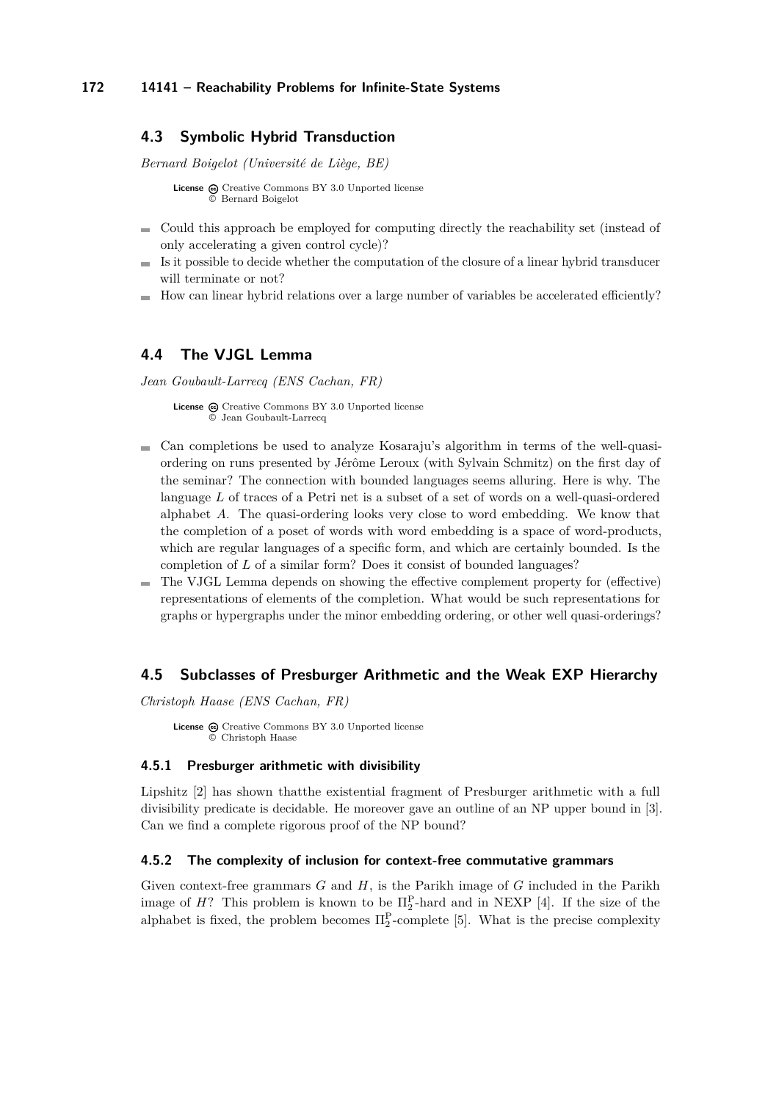### <span id="page-19-0"></span>**4.3 Symbolic Hybrid Transduction**

*Bernard Boigelot (Université de Liège, BE)*

**License**  $\textcircled{e}$  [Creative Commons BY 3.0 Unported](http://creativecommons.org/licenses/by/3.0/) license © [Bernard Boigelot](#page-19-0)

- Could this approach be employed for computing directly the reachability set (instead of only accelerating a given control cycle)?
- Is it possible to decide whether the computation of the closure of a linear hybrid transducer will terminate or not?
- How can linear hybrid relations over a large number of variables be accelerated efficiently?

### <span id="page-19-1"></span>**4.4 The VJGL Lemma**

*Jean Goubault-Larrecq (ENS Cachan, FR)*

License  $\textcircled{c}$  [Creative Commons BY 3.0 Unported](http://creativecommons.org/licenses/by/3.0/) license © [Jean Goubault-Larrecq](#page-19-1)

- Can completions be used to analyze Kosaraju's algorithm in terms of the well-quasiordering on runs presented by Jérôme Leroux (with Sylvain Schmitz) on the first day of the seminar? The connection with bounded languages seems alluring. Here is why. The language *L* of traces of a Petri net is a subset of a set of words on a well-quasi-ordered alphabet *A*. The quasi-ordering looks very close to word embedding. We know that the completion of a poset of words with word embedding is a space of word-products, which are regular languages of a specific form, and which are certainly bounded. Is the completion of *L* of a similar form? Does it consist of bounded languages?
- The VJGL Lemma depends on showing the effective complement property for (effective)  $\blacksquare$ representations of elements of the completion. What would be such representations for graphs or hypergraphs under the minor embedding ordering, or other well quasi-orderings?

### <span id="page-19-2"></span>**4.5 Subclasses of Presburger Arithmetic and the Weak EXP Hierarchy**

*Christoph Haase (ENS Cachan, FR)*

License  $\textcircled{c}$  [Creative Commons BY 3.0 Unported](http://creativecommons.org/licenses/by/3.0/) license © [Christoph Haase](#page-19-2)

#### **4.5.1 Presburger arithmetic with divisibility**

Lipshitz [\[2\]](#page-20-3) has shown thatthe existential fragment of Presburger arithmetic with a full divisibility predicate is decidable. He moreover gave an outline of an NP upper bound in [\[3\]](#page-20-4). Can we find a complete rigorous proof of the NP bound?

#### **4.5.2 The complexity of inclusion for context-free commutative grammars**

Given context-free grammars *G* and *H*, is the Parikh image of *G* included in the Parikh image of  $H$ ? This problem is known to be  $\Pi_2^{\text{P}}$ -hard and in NEXP [\[4\]](#page-20-5). If the size of the alphabet is fixed, the problem becomes  $\Pi_2^{\text{P}}$ -complete [\[5\]](#page-20-6). What is the precise complexity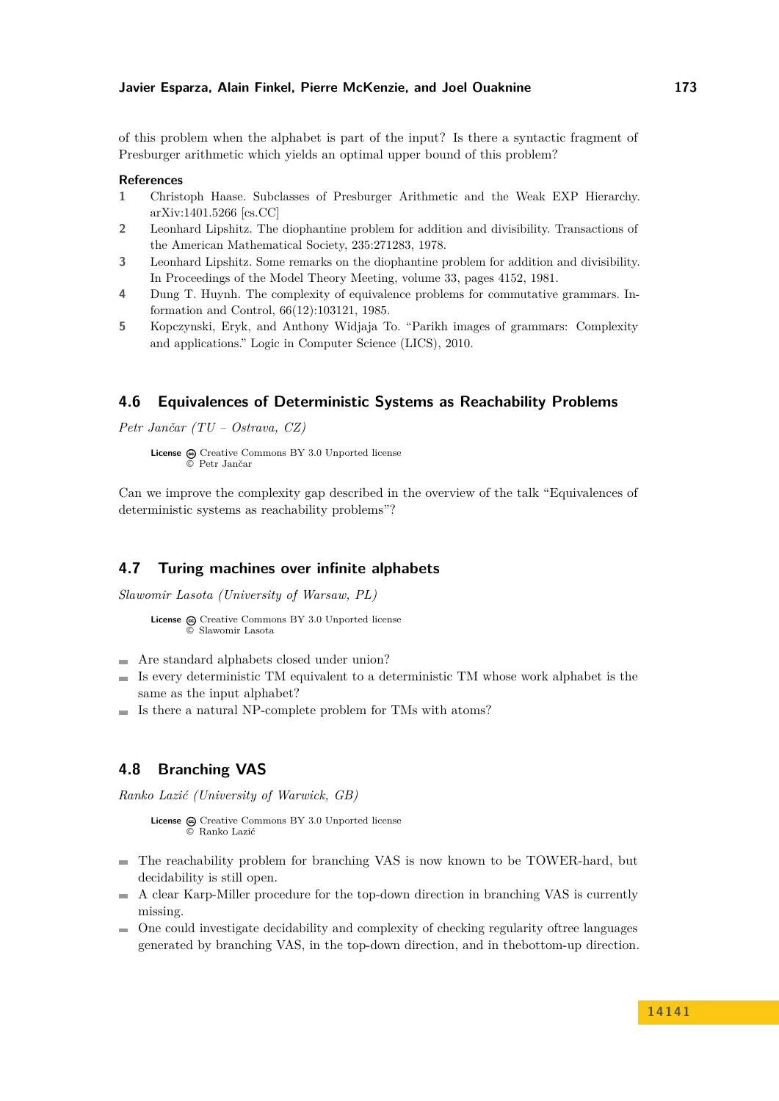of this problem when the alphabet is part of the input? Is there a syntactic fragment of Presburger arithmetic which yields an optimal upper bound of this problem?

#### **References**

- **1** Christoph Haase. Subclasses of Presburger Arithmetic and the Weak EXP Hierarchy. arXiv:1401.5266 [cs.CC]
- <span id="page-20-3"></span>**2** Leonhard Lipshitz. The diophantine problem for addition and divisibility. Transactions of the American Mathematical Society, 235:271283, 1978.
- <span id="page-20-4"></span>**3** Leonhard Lipshitz. Some remarks on the diophantine problem for addition and divisibility. In Proceedings of the Model Theory Meeting, volume 33, pages 4152, 1981.
- <span id="page-20-5"></span>**4** Dung T. Huynh. The complexity of equivalence problems for commutative grammars. Information and Control, 66(12):103121, 1985.
- <span id="page-20-6"></span>**5** Kopczynski, Eryk, and Anthony Widjaja To. "Parikh images of grammars: Complexity and applications." Logic in Computer Science (LICS), 2010.

### <span id="page-20-0"></span>**4.6 Equivalences of Deterministic Systems as Reachability Problems**

*Petr Jančar (TU – Ostrava, CZ)*

**License**  $\textcircled{e}$  [Creative Commons BY 3.0 Unported](http://creativecommons.org/licenses/by/3.0/) license © [Petr Jančar](#page-20-0)

Can we improve the complexity gap described in the overview of the talk "Equivalences of deterministic systems as reachability problems"?

### <span id="page-20-1"></span>**4.7 Turing machines over infinite alphabets**

*Slawomir Lasota (University of Warsaw, PL)*

```
License \bigcircCreative Commons BY 3.0 Unported license
        © Slawomir Lasota
```
- Are standard alphabets closed under union?  $\rightarrow$
- Is every deterministic TM equivalent to a deterministic TM whose work alphabet is the  $\blacksquare$ same as the input alphabet?
- Is there a natural NP-complete problem for TMs with atoms?

### <span id="page-20-2"></span>**4.8 Branching VAS**

*Ranko Lazić (University of Warwick, GB)*

License  $\textcircled{a}$  [Creative Commons BY 3.0 Unported](http://creativecommons.org/licenses/by/3.0/) license © [Ranko Lazić](#page-20-2)

- The reachability problem for branching VAS is now known to be TOWER-hard, but decidability is still open.
- A clear Karp-Miller procedure for the top-down direction in branching VAS is currently  $\blacksquare$ missing.
- One could investigate decidability and complexity of checking regularity oftree languages generated by branching VAS, in the top-down direction, and in thebottom-up direction.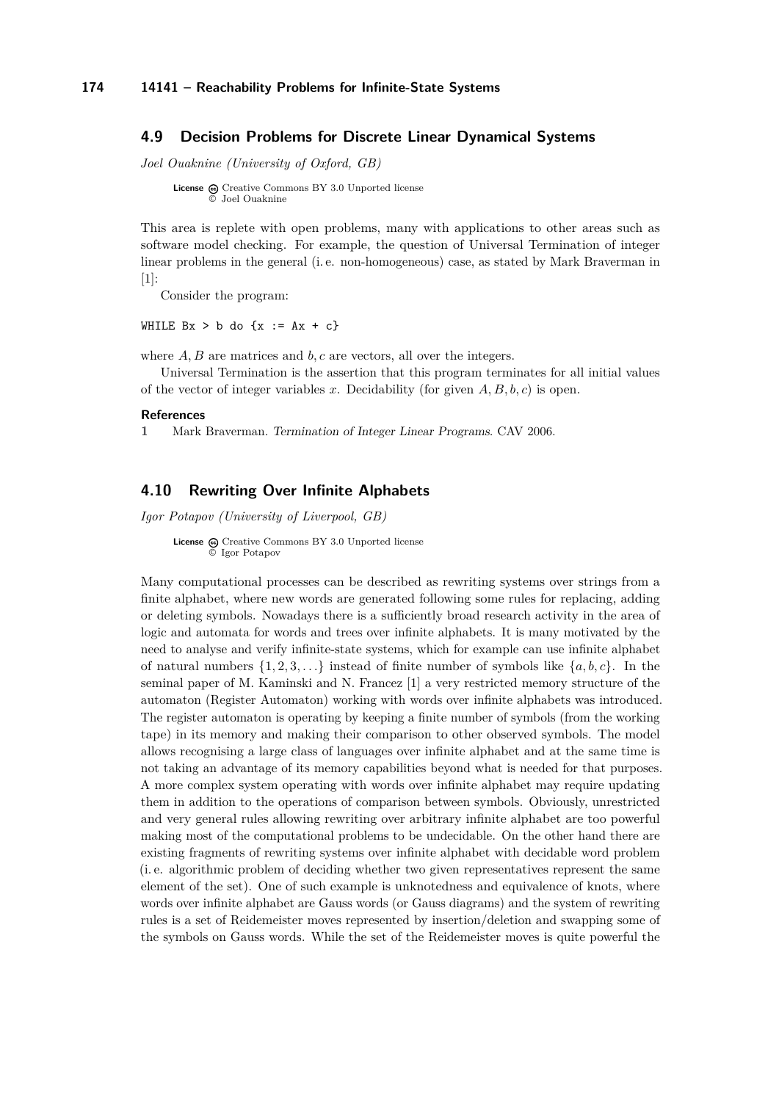#### <span id="page-21-0"></span>**4.9 Decision Problems for Discrete Linear Dynamical Systems**

*Joel Ouaknine (University of Oxford, GB)*

**License**  $\odot$  [Creative Commons BY 3.0 Unported](http://creativecommons.org/licenses/by/3.0/) license © [Joel Ouaknine](#page-21-0)

This area is replete with open problems, many with applications to other areas such as software model checking. For example, the question of Universal Termination of integer linear problems in the general (i. e. non-homogeneous) case, as stated by Mark Braverman in [\[1\]](#page-21-2):

Consider the program:

WHILE  $Bx > b$  do  $\{x := Ax + c\}$ 

where *A, B* are matrices and *b, c* are vectors, all over the integers.

Universal Termination is the assertion that this program terminates for all initial values of the vector of integer variables *x*. Decidability (for given *A, B, b, c*) is open.

#### **References**

<span id="page-21-2"></span>**1** Mark Braverman. Termination of Integer Linear Programs. CAV 2006.

### <span id="page-21-1"></span>**4.10 Rewriting Over Infinite Alphabets**

*Igor Potapov (University of Liverpool, GB)*

License  $\bigcirc$  [Creative Commons BY 3.0 Unported](http://creativecommons.org/licenses/by/3.0/) license © [Igor Potapov](#page-21-1)

Many computational processes can be described as rewriting systems over strings from a finite alphabet, where new words are generated following some rules for replacing, adding or deleting symbols. Nowadays there is a sufficiently broad research activity in the area of logic and automata for words and trees over infinite alphabets. It is many motivated by the need to analyse and verify infinite-state systems, which for example can use infinite alphabet of natural numbers  $\{1, 2, 3, \ldots\}$  instead of finite number of symbols like  $\{a, b, c\}$ . In the seminal paper of M. Kaminski and N. Francez [\[1\]](#page-22-2) a very restricted memory structure of the automaton (Register Automaton) working with words over infinite alphabets was introduced. The register automaton is operating by keeping a finite number of symbols (from the working tape) in its memory and making their comparison to other observed symbols. The model allows recognising a large class of languages over infinite alphabet and at the same time is not taking an advantage of its memory capabilities beyond what is needed for that purposes. A more complex system operating with words over infinite alphabet may require updating them in addition to the operations of comparison between symbols. Obviously, unrestricted and very general rules allowing rewriting over arbitrary infinite alphabet are too powerful making most of the computational problems to be undecidable. On the other hand there are existing fragments of rewriting systems over infinite alphabet with decidable word problem (i. e. algorithmic problem of deciding whether two given representatives represent the same element of the set). One of such example is unknotedness and equivalence of knots, where words over infinite alphabet are Gauss words (or Gauss diagrams) and the system of rewriting rules is a set of Reidemeister moves represented by insertion/deletion and swapping some of the symbols on Gauss words. While the set of the Reidemeister moves is quite powerful the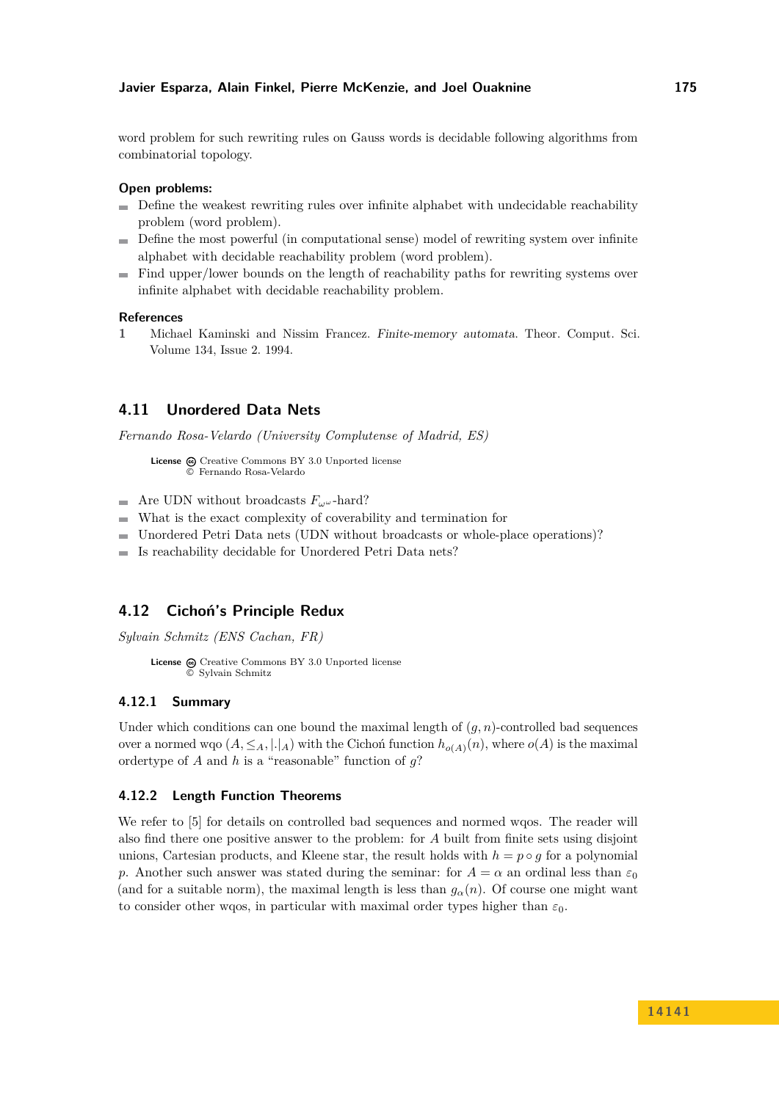word problem for such rewriting rules on Gauss words is decidable following algorithms from combinatorial topology.

#### **Open problems:**

- Define the weakest rewriting rules over infinite alphabet with undecidable reachability problem (word problem).
- Define the most powerful (in computational sense) model of rewriting system over infinite alphabet with decidable reachability problem (word problem).
- $\blacksquare$  Find upper/lower bounds on the length of reachability paths for rewriting systems over infinite alphabet with decidable reachability problem.

#### **References**

<span id="page-22-2"></span>**1** Michael Kaminski and Nissim Francez. Finite-memory automata. Theor. Comput. Sci. Volume 134, Issue 2. 1994.

### <span id="page-22-0"></span>**4.11 Unordered Data Nets**

*Fernando Rosa-Velardo (University Complutense of Madrid, ES)*

License  $\textcircled{c}$  [Creative Commons BY 3.0 Unported](http://creativecommons.org/licenses/by/3.0/) license © [Fernando Rosa-Velardo](#page-22-0)

- Are UDN without broadcasts  $F_\omega \omega$ -hard?
- What is the exact complexity of coverability and termination for  $\mathbf{r}$
- Unordered Petri Data nets (UDN without broadcasts or whole-place operations)?
- Is reachability decidable for Unordered Petri Data nets?  $\sim$

### <span id="page-22-1"></span>**4.12 Cichoń's Principle Redux**

*Sylvain Schmitz (ENS Cachan, FR)*

```
License \textcircled{c}Creative Commons BY 3.0 Unported license
         © Sylvain Schmitz
```
#### **4.12.1 Summary**

Under which conditions can one bound the maximal length of  $(g, n)$ -controlled bad sequences over a normed wqo  $(A, \leq_A, |.|_A)$  with the Cichoń function  $h_{o(A)}(n)$ , where  $o(A)$  is the maximal ordertype of *A* and *h* is a "reasonable" function of *g*?

#### **4.12.2 Length Function Theorems**

We refer to [\[5\]](#page-23-1) for details on controlled bad sequences and normed wqos. The reader will also find there one positive answer to the problem: for *A* built from finite sets using disjoint unions, Cartesian products, and Kleene star, the result holds with  $h = p \circ q$  for a polynomial *p*. Another such answer was stated during the seminar: for  $A = \alpha$  an ordinal less than  $\varepsilon_0$ (and for a suitable norm), the maximal length is less than  $g_\alpha(n)$ . Of course one might want to consider other wqos, in particular with maximal order types higher than  $\varepsilon_0$ .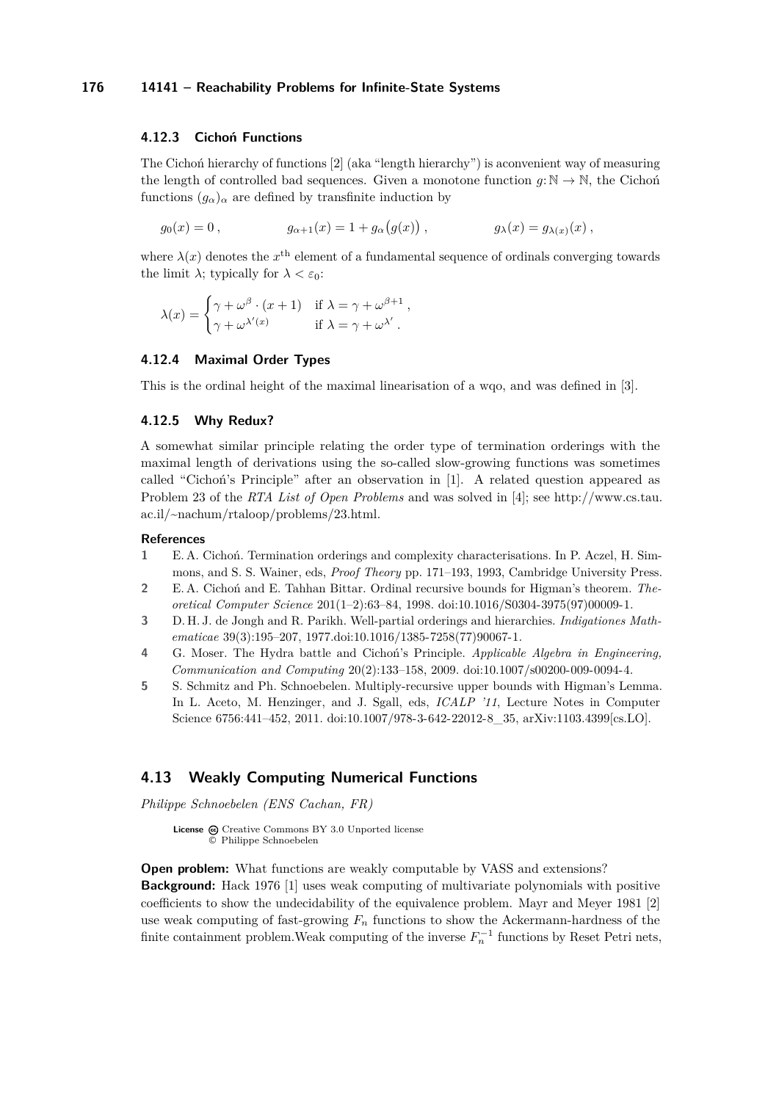#### **4.12.3 Cichoń Functions**

The Cichoń hierarchy of functions [\[2\]](#page-23-2) (aka "length hierarchy") is aconvenient way of measuring the length of controlled bad sequences. Given a monotone function  $q: \mathbb{N} \to \mathbb{N}$ , the Cichon functions  $(q_{\alpha})_{\alpha}$  are defined by transfinite induction by

$$
g_0(x) = 0
$$
,  $g_{\alpha+1}(x) = 1 + g_{\alpha}(g(x))$ ,  $g_{\lambda}(x) = g_{\lambda(x)}(x)$ ,

where  $\lambda(x)$  denotes the  $x^{\text{th}}$  element of a fundamental sequence of ordinals converging towards the limit  $\lambda$ ; typically for  $\lambda < \varepsilon_0$ :

$$
\lambda(x) = \begin{cases} \gamma + \omega^{\beta} \cdot (x+1) & \text{if } \lambda = \gamma + \omega^{\beta+1} , \\ \gamma + \omega^{\lambda'(x)} & \text{if } \lambda = \gamma + \omega^{\lambda'} . \end{cases}
$$

#### **4.12.4 Maximal Order Types**

This is the ordinal height of the maximal linearisation of a wqo, and was defined in [\[3\]](#page-23-3).

#### **4.12.5 Why Redux?**

A somewhat similar principle relating the order type of termination orderings with the maximal length of derivations using the so-called slow-growing functions was sometimes called "Cichoń's Principle" after an observation in [\[1\]](#page-23-4). A related question appeared as Problem 23 of the *RTA List of Open Problems* and was solved in [\[4\]](#page-23-5); see [http://www.cs.tau.](http://www.cs.tau.ac.il/~nachum/rtaloop/problems/23.html) [ac.il/~nachum/rtaloop/problems/23.html.](http://www.cs.tau.ac.il/~nachum/rtaloop/problems/23.html)

#### **References**

- <span id="page-23-4"></span>**1** E. A. Cichoń. Termination orderings and complexity characterisations. In P. Aczel, H. Simmons, and S. S. Wainer, eds, *Proof Theory* pp. 171–193, 1993, Cambridge University Press.
- <span id="page-23-2"></span>**2** E. A. Cichoń and E. Tahhan Bittar. Ordinal recursive bounds for Higman's theorem. *Theoretical Computer Science* 201(1–2):63–84, 1998. [doi:10.1016/S0304-3975\(97\)00009-1.](http://dx.doi.org/0.1016/S0304-3975(97)00009-1)
- <span id="page-23-3"></span>**3** D. H. J. de Jongh and R. Parikh. Well-partial orderings and hierarchies. *Indigationes Mathematicae* 39(3):195–207, 1977[.doi:10.1016/1385-7258\(77\)90067-1.](http://dx.doi.org/10.1016/1385-7258(77)90067-1)
- <span id="page-23-5"></span>**4** G. Moser. The Hydra battle and Cichoń's Principle. *Applicable Algebra in Engineering, Communication and Computing* 20(2):133–158, 2009. [doi:10.1007/s00200-009-0094-4.](http://dx.doi.org/10.1007/s00200-009-0094-4)
- <span id="page-23-1"></span>**5** S. Schmitz and Ph. Schnoebelen. Multiply-recursive upper bounds with Higman's Lemma. In L. Aceto, M. Henzinger, and J. Sgall, eds, *ICALP '11*, Lecture Notes in Computer Science 6756:441-452, 2011. [doi:10.1007/978-3-642-22012-8\\_35,](http://dx.doi.org/10.1007/978-3-642-22012-8_35) [arXiv:1103.4399\[cs.LO\].](http://arxiv.org/abs/1103.4399)

### <span id="page-23-0"></span>**4.13 Weakly Computing Numerical Functions**

*Philippe Schnoebelen (ENS Cachan, FR)*

License  $\textcircled{c}$  [Creative Commons BY 3.0 Unported](http://creativecommons.org/licenses/by/3.0/) license © [Philippe Schnoebelen](#page-23-0)

**Open problem:** What functions are weakly computable by VASS and extensions? **Background:** Hack 1976 [\[1\]](#page-24-1) uses weak computing of multivariate polynomials with positive coefficients to show the undecidability of the equivalence problem. Mayr and Meyer 1981 [\[2\]](#page-24-2) use weak computing of fast-growing *F<sup>n</sup>* functions to show the Ackermann-hardness of the finite containment problem. Weak computing of the inverse  $F_n^{-1}$  functions by Reset Petri nets,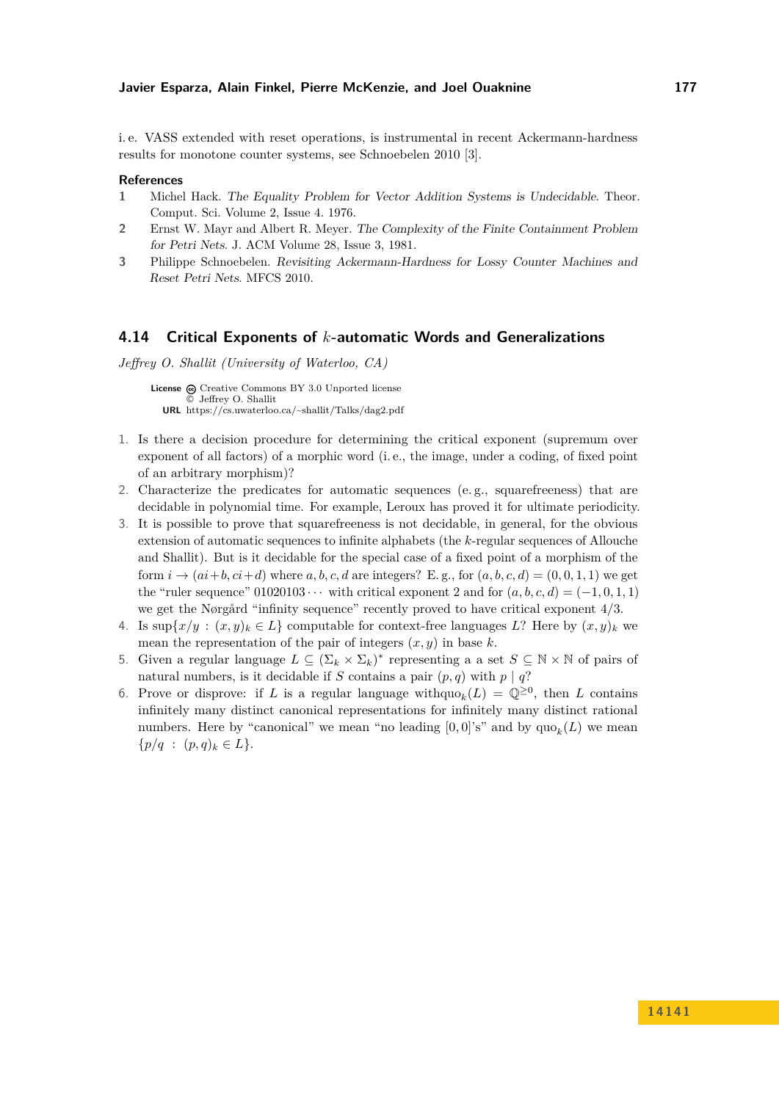i. e. VASS extended with reset operations, is instrumental in recent Ackermann-hardness results for monotone counter systems, see Schnoebelen 2010 [\[3\]](#page-24-3).

#### **References**

- <span id="page-24-1"></span>**1** Michel Hack. The Equality Problem for Vector Addition Systems is Undecidable. Theor. Comput. Sci. Volume 2, Issue 4. 1976.
- <span id="page-24-2"></span>**2** Ernst W. Mayr and Albert R. Meyer. The Complexity of the Finite Containment Problem for Petri Nets. J. ACM Volume 28, Issue 3, 1981.
- <span id="page-24-3"></span>**3** Philippe Schnoebelen. Revisiting Ackermann-Hardness for Lossy Counter Machines and Reset Petri Nets. MFCS 2010.

#### <span id="page-24-0"></span>**4.14 Critical Exponents of** *k***-automatic Words and Generalizations**

*Jeffrey O. Shallit (University of Waterloo, CA)*

License  $\bigcirc$  [Creative Commons BY 3.0 Unported](http://creativecommons.org/licenses/by/3.0/) license © [Jeffrey O. Shallit](#page-24-0) **URL** <https://cs.uwaterloo.ca/~shallit/Talks/dag2.pdf>

- 1. Is there a decision procedure for determining the critical exponent (supremum over exponent of all factors) of a morphic word (i. e., the image, under a coding, of fixed point of an arbitrary morphism)?
- 2. Characterize the predicates for automatic sequences (e. g., squarefreeness) that are decidable in polynomial time. For example, Leroux has proved it for ultimate periodicity.
- 3. It is possible to prove that squarefreeness is not decidable, in general, for the obvious extension of automatic sequences to infinite alphabets (the *k*-regular sequences of Allouche and Shallit). But is it decidable for the special case of a fixed point of a morphism of the form  $i \rightarrow (ai+b, ci+d)$  where  $a, b, c, d$  are integers? E.g., for  $(a, b, c, d) = (0, 0, 1, 1)$  we get the "ruler sequence"  $01020103 \cdots$  with critical exponent 2 and for  $(a, b, c, d) = (-1, 0, 1, 1)$ we get the Nørgård "infinity sequence" recently proved to have critical exponent 4*/*3.
- 4. Is  $\sup\{x/y : (x, y)_k \in L\}$  computable for context-free languages *L*? Here by  $(x, y)_k$  we mean the representation of the pair of integers  $(x, y)$  in base  $k$ .
- 5. Given a regular language  $L \subseteq (\Sigma_k \times \Sigma_k)^*$  representing a a set  $S \subseteq \mathbb{N} \times \mathbb{N}$  of pairs of natural numbers, is it decidable if *S* contains a pair  $(p, q)$  with  $p | q$ ?
- 6. Prove or disprove: if *L* is a regular language with  $\text{qu}_k(L) = \mathbb{Q}^{\geq 0}$ , then *L* contains infinitely many distinct canonical representations for infinitely many distinct rational numbers. Here by "canonical" we mean "no leading  $[0,0]$ 's" and by  $\text{quo}_k(L)$  we mean  $\{p/q : (p,q)_k \in L\}.$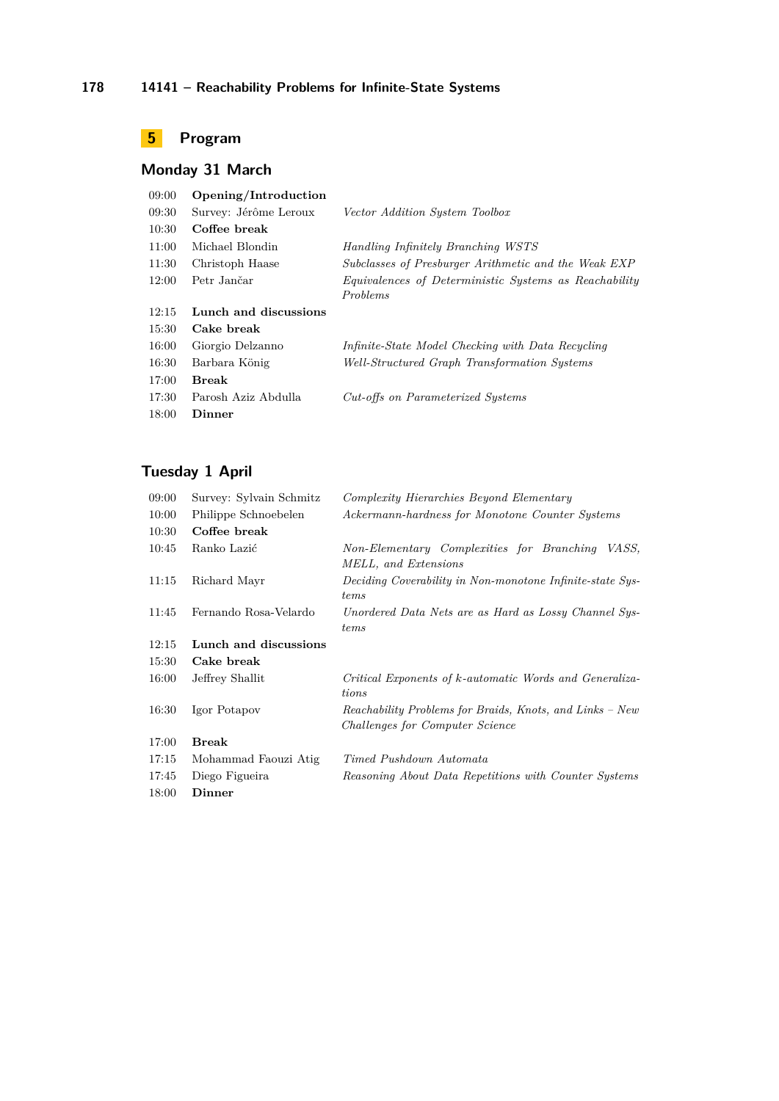# <span id="page-25-0"></span>**5 Program**

# **Monday 31 March**

| 09:00 | Opening/Introduction  |                                                       |
|-------|-----------------------|-------------------------------------------------------|
| 09:30 | Survey: Jérôme Leroux | Vector Addition System Toolbox                        |
| 10:30 | Coffee break          |                                                       |
| 11:00 | Michael Blondin       | Handling Infinitely Branching WSTS                    |
| 11:30 | Christoph Haase       | Subclasses of Presburger Arithmetic and the Weak EXP  |
| 12:00 | Petr Jančar           | Equivalences of Deterministic Systems as Reachability |
|       |                       | <i>Problems</i>                                       |
| 12:15 | Lunch and discussions |                                                       |
| 15:30 | Cake break            |                                                       |
| 16:00 | Giorgio Delzanno      | Infinite-State Model Checking with Data Recycling     |
| 16:30 | Barbara König         | Well-Structured Graph Transformation Systems          |
| 17:00 | <b>Break</b>          |                                                       |
| 17:30 | Parosh Aziz Abdulla   | Cut-offs on Parameterized Systems                     |
| 18:00 | Dinner                |                                                       |
|       |                       |                                                       |

# **Tuesday 1 April**

| 09:00 | Survey: Sylvain Schmitz | Complexity Hierarchies Beyond Elementary                                                    |
|-------|-------------------------|---------------------------------------------------------------------------------------------|
| 10:00 | Philippe Schnoebelen    | Ackermann-hardness for Monotone Counter Systems                                             |
| 10:30 | Coffee break            |                                                                                             |
| 10:45 | Ranko Lazić             | Non-Elementary Complexities for Branching<br>VASS.<br>MELL, and Extensions                  |
| 11:15 | Richard Mayr            | Deciding Coverability in Non-monotone Infinite-state Sys-<br>tems                           |
| 11:45 | Fernando Rosa-Velardo   | Unordered Data Nets are as Hard as Lossy Channel Sys-<br>tems                               |
| 12:15 | Lunch and discussions   |                                                                                             |
| 15:30 | Cake break              |                                                                                             |
| 16:00 | Jeffrey Shallit         | Critical Exponents of k-automatic Words and Generaliza-<br>tions                            |
| 16:30 | Igor Potapov            | Reachability Problems for Braids, Knots, and Links – New<br>Challenges for Computer Science |
| 17:00 | <b>Break</b>            |                                                                                             |
| 17:15 | Mohammad Faouzi Atig    | Timed Pushdown Automata                                                                     |
| 17:45 | Diego Figueira          | Reasoning About Data Repetitions with Counter Systems                                       |
| 18:00 | Dinner                  |                                                                                             |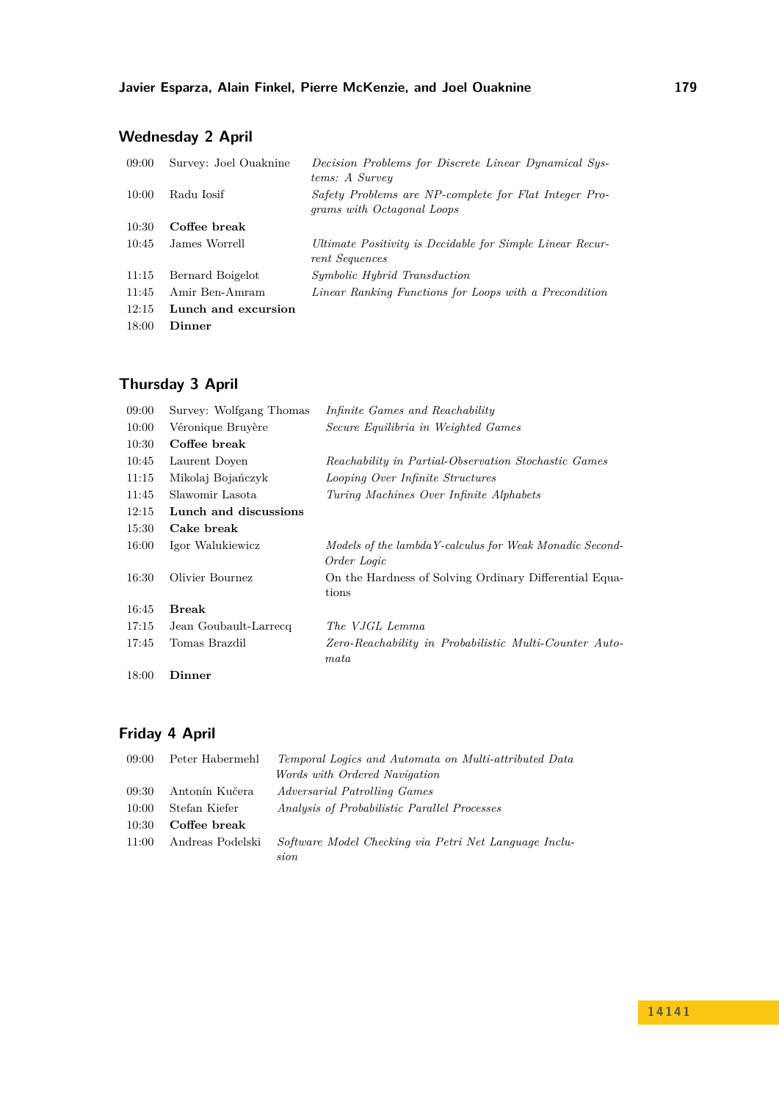# **Wednesday 2 April**

| 09:00 | Survey: Joel Ouaknine | Decision Problems for Discrete Linear Dynamical Sys-<br>tems: A Survey                     |
|-------|-----------------------|--------------------------------------------------------------------------------------------|
| 10:00 | Radu Iosif            | Safety Problems are NP-complete for Flat Integer Pro-<br><i>grams with Octagonal Loops</i> |
| 10:30 | Coffee break          |                                                                                            |
| 10:45 | James Worrell         | Ultimate Positivity is Decidable for Simple Linear Recur-<br>rent Sequences                |
| 11:15 | Bernard Boigelot      | <i>Symbolic Hybrid Transduction</i>                                                        |
| 11:45 | Amir Ben-Amram        | Linear Ranking Functions for Loops with a Precondition                                     |
| 12:15 | Lunch and excursion   |                                                                                            |
| 18:00 | Dinner                |                                                                                            |

# **Thursday 3 April**

| 09:00 | Survey: Wolfgang Thomas | Infinite Games and Reachability                                        |
|-------|-------------------------|------------------------------------------------------------------------|
| 10:00 | Véronique Bruyère       | Secure Equilibria in Weighted Games                                    |
| 10:30 | Coffee break            |                                                                        |
| 10:45 | Laurent Doyen           | Reachability in Partial-Observation Stochastic Games                   |
| 11:15 | Mikolaj Bojańczyk       | Looping Over Infinite Structures                                       |
| 11:45 | Slawomir Lasota         | Turing Machines Over Infinite Alphabets                                |
| 12:15 | Lunch and discussions   |                                                                        |
| 15:30 | Cake break              |                                                                        |
| 16:00 | Igor Walukiewicz        | Models of the lambdaY-calculus for Weak Monadic Second-<br>Order Logic |
| 16:30 | Olivier Bournez         | On the Hardness of Solving Ordinary Differential Equa-<br>tions        |
| 16:45 | Break                   |                                                                        |
| 17:15 | Jean Goubault-Larrecq   | The VJGL Lemma                                                         |
| 17:45 | Tomas Brazdil           | Zero-Reachability in Probabilistic Multi-Counter Auto-<br>$_{mata}$    |
| 18:00 | Dinner                  |                                                                        |

# **Friday 4 April**

| 09:00 | Peter Habermehl  | Temporal Logics and Automata on Multi-attributed Data<br>Words with Ordered Navigation |
|-------|------------------|----------------------------------------------------------------------------------------|
|       |                  |                                                                                        |
| 09:30 | Antonín Kučera   | Adversarial Patrolling Games                                                           |
| 10:00 | Stefan Kiefer    | Analysis of Probabilistic Parallel Processes                                           |
| 10:30 | Coffee break     |                                                                                        |
| 11:00 | Andreas Podelski | Software Model Checking via Petri Net Language Inclu-                                  |
|       |                  | $\it sion$                                                                             |